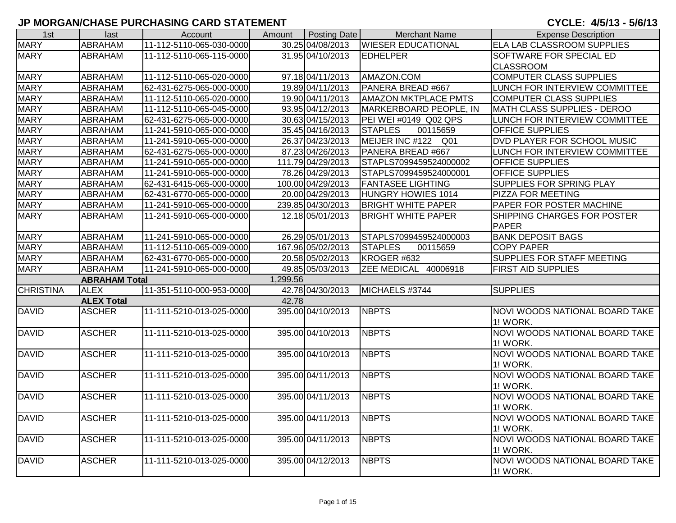| 1st              | last                 | Account                  | Amount   | <b>Posting Date</b> | <b>Merchant Name</b>        | <b>Expense Description</b>                 |
|------------------|----------------------|--------------------------|----------|---------------------|-----------------------------|--------------------------------------------|
| <b>MARY</b>      | <b>ABRAHAM</b>       | 11-112-5110-065-030-0000 |          | 30.25 04/08/2013    | <b>WIESER EDUCATIONAL</b>   | ELA LAB CLASSROOM SUPPLIES                 |
| <b>MARY</b>      | ABRAHAM              | 11-112-5110-065-115-0000 |          | 31.95 04/10/2013    | <b>EDHELPER</b>             | SOFTWARE FOR SPECIAL ED                    |
|                  |                      |                          |          |                     |                             | <b>CLASSROOM</b>                           |
| <b>MARY</b>      | ABRAHAM              | 11-112-5110-065-020-0000 |          | 97.18 04/11/2013    | AMAZON.COM                  | <b>COMPUTER CLASS SUPPLIES</b>             |
| <b>MARY</b>      | ABRAHAM              | 62-431-6275-065-000-0000 |          | 19.89 04/11/2013    | PANERA BREAD #667           | LUNCH FOR INTERVIEW COMMITTEE              |
| <b>MARY</b>      | ABRAHAM              | 11-112-5110-065-020-0000 |          | 19.90 04/11/2013    | <b>AMAZON MKTPLACE PMTS</b> | COMPUTER CLASS SUPPLIES                    |
| <b>MARY</b>      | ABRAHAM              | 11-112-5110-065-045-0000 |          | 93.95 04/12/2013    | MARKERBOARD PEOPLE, IN      | MATH CLASS SUPPLIES - DEROO                |
| <b>MARY</b>      | ABRAHAM              | 62-431-6275-065-000-0000 |          | 30.63 04/15/2013    | PEI WEI #0149 Q02 QPS       | LUNCH FOR INTERVIEW COMMITTEE              |
| <b>MARY</b>      | ABRAHAM              | 11-241-5910-065-000-0000 |          | 35.45 04/16/2013    | <b>STAPLES</b><br>00115659  | OFFICE SUPPLIES                            |
| <b>MARY</b>      | ABRAHAM              | 11-241-5910-065-000-0000 |          | 26.37 04/23/2013    | MEIJER INC #122 Q01         | DVD PLAYER FOR SCHOOL MUSIC                |
| <b>MARY</b>      | ABRAHAM              | 62-431-6275-065-000-0000 |          | 87.23 04/26/2013    | PANERA BREAD #667           | LUNCH FOR INTERVIEW COMMITTEE              |
| <b>MARY</b>      | <b>ABRAHAM</b>       | 11-241-5910-065-000-0000 |          | 111.79 04/29/2013   | STAPLS7099459524000002      | OFFICE SUPPLIES                            |
| <b>MARY</b>      | ABRAHAM              | 11-241-5910-065-000-0000 |          | 78.26 04/29/2013    | STAPLS7099459524000001      | <b>OFFICE SUPPLIES</b>                     |
| <b>MARY</b>      | ABRAHAM              | 62-431-6415-065-000-0000 |          | 100.00 04/29/2013   | <b>FANTASEE LIGHTING</b>    | SUPPLIES FOR SPRING PLAY                   |
| <b>MARY</b>      | <b>ABRAHAM</b>       | 62-431-6770-065-000-0000 |          | 20.00 04/29/2013    | HUNGRY HOWIES 1014          | <b>PIZZA FOR MEETING</b>                   |
| <b>MARY</b>      | ABRAHAM              | 11-241-5910-065-000-0000 |          | 239.85 04/30/2013   | <b>BRIGHT WHITE PAPER</b>   | PAPER FOR POSTER MACHINE                   |
| <b>MARY</b>      | ABRAHAM              | 11-241-5910-065-000-0000 |          | 12.18 05/01/2013    | <b>BRIGHT WHITE PAPER</b>   | SHIPPING CHARGES FOR POSTER                |
|                  |                      |                          |          |                     |                             | <b>PAPER</b>                               |
| <b>MARY</b>      | <b>ABRAHAM</b>       | 11-241-5910-065-000-0000 |          | 26.29 05/01/2013    | STAPLS7099459524000003      | <b>BANK DEPOSIT BAGS</b>                   |
| <b>MARY</b>      | ABRAHAM              | 11-112-5110-065-009-0000 |          | 167.96 05/02/2013   | <b>STAPLES</b><br>00115659  | <b>COPY PAPER</b>                          |
| <b>MARY</b>      | ABRAHAM              | 62-431-6770-065-000-0000 |          | 20.58 05/02/2013    | KROGER #632                 | SUPPLIES FOR STAFF MEETING                 |
| <b>MARY</b>      | <b>ABRAHAM</b>       | 11-241-5910-065-000-0000 |          | 49.85 05/03/2013    | ZEE MEDICAL 40006918        | <b>FIRST AID SUPPLIES</b>                  |
|                  | <b>ABRAHAM Total</b> |                          | 1,299.56 |                     |                             |                                            |
| <b>CHRISTINA</b> | <b>ALEX</b>          | 11-351-5110-000-953-0000 |          | 42.78 04/30/2013    | MICHAELS #3744              | <b>SUPPLIES</b>                            |
|                  | <b>ALEX Total</b>    |                          | 42.78    |                     |                             |                                            |
| <b>DAVID</b>     | <b>ASCHER</b>        | 11-111-5210-013-025-0000 |          | 395.00 04/10/2013   | <b>NBPTS</b>                | NOVI WOODS NATIONAL BOARD TAKE<br>1! WORK. |
| <b>DAVID</b>     | <b>ASCHER</b>        | 11-111-5210-013-025-0000 |          | 395.00 04/10/2013   | <b>NBPTS</b>                | NOVI WOODS NATIONAL BOARD TAKE             |
|                  |                      |                          |          |                     |                             | <b>1! WORK.</b>                            |
| <b>DAVID</b>     | <b>ASCHER</b>        | 11-111-5210-013-025-0000 |          | 395.00 04/10/2013   | <b>NBPTS</b>                | <b>NOVI WOODS NATIONAL BOARD TAKE</b>      |
|                  |                      |                          |          |                     |                             | 1! WORK.                                   |
| <b>DAVID</b>     | <b>ASCHER</b>        | 11-111-5210-013-025-0000 |          | 395.00 04/11/2013   | <b>NBPTS</b>                | NOVI WOODS NATIONAL BOARD TAKE             |
|                  |                      |                          |          |                     |                             | 1! WORK.                                   |
| <b>DAVID</b>     | <b>ASCHER</b>        | 11-111-5210-013-025-0000 |          | 395.00 04/11/2013   | <b>NBPTS</b>                | <b>NOVI WOODS NATIONAL BOARD TAKE</b>      |
|                  |                      |                          |          |                     |                             | 1! WORK.                                   |
| <b>DAVID</b>     | <b>ASCHER</b>        | 11-111-5210-013-025-0000 |          | 395.00 04/11/2013   | <b>NBPTS</b>                | NOVI WOODS NATIONAL BOARD TAKE             |
|                  |                      |                          |          |                     |                             | 1! WORK.                                   |
| <b>DAVID</b>     | <b>ASCHER</b>        | 11-111-5210-013-025-0000 |          | 395.00 04/11/2013   | <b>NBPTS</b>                | NOVI WOODS NATIONAL BOARD TAKE             |
|                  |                      |                          |          |                     |                             | 1! WORK.                                   |
| <b>DAVID</b>     | <b>ASCHER</b>        | 11-111-5210-013-025-0000 |          | 395.00 04/12/2013   | <b>NBPTS</b>                | NOVI WOODS NATIONAL BOARD TAKE             |
|                  |                      |                          |          |                     |                             | 1! WORK.                                   |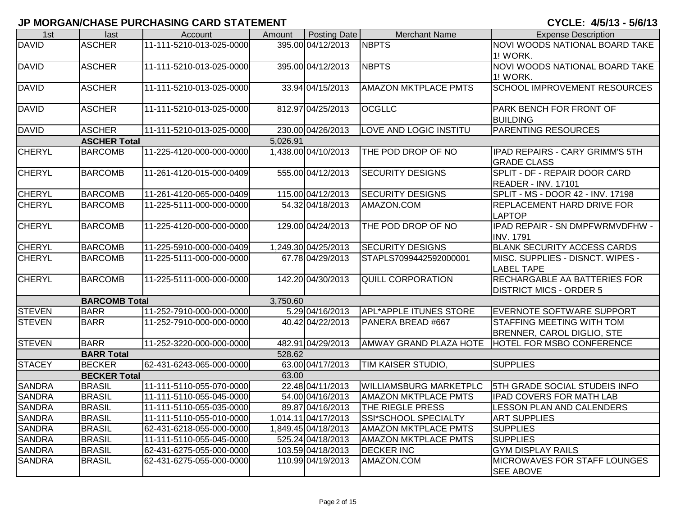| 1st           | last                 | Account                  | Amount   | Posting Date        | <b>Merchant Name</b>          | <b>Expense Description</b>                             |
|---------------|----------------------|--------------------------|----------|---------------------|-------------------------------|--------------------------------------------------------|
| <b>DAVID</b>  | <b>ASCHER</b>        | 11-111-5210-013-025-0000 |          | 395.00 04/12/2013   | <b>NBPTS</b>                  | NOVI WOODS NATIONAL BOARD TAKE                         |
|               |                      |                          |          |                     |                               | 1! WORK.                                               |
| <b>DAVID</b>  | <b>ASCHER</b>        | 11-111-5210-013-025-0000 |          | 395.00 04/12/2013   | <b>NBPTS</b>                  | <b>NOVI WOODS NATIONAL BOARD TAKE</b>                  |
|               |                      |                          |          |                     |                               | <b>1! WORK.</b>                                        |
| <b>DAVID</b>  | <b>ASCHER</b>        | 11-111-5210-013-025-0000 |          | 33.94 04/15/2013    | <b>AMAZON MKTPLACE PMTS</b>   | <b>SCHOOL IMPROVEMENT RESOURCES</b>                    |
|               |                      |                          |          |                     |                               |                                                        |
| <b>DAVID</b>  | <b>ASCHER</b>        | 11-111-5210-013-025-0000 |          | 812.97 04/25/2013   | <b>OCGLLC</b>                 | PARK BENCH FOR FRONT OF<br><b>BUILDING</b>             |
| <b>DAVID</b>  | <b>ASCHER</b>        | 11-111-5210-013-025-0000 |          | 230.00 04/26/2013   | <b>LOVE AND LOGIC INSTITU</b> | <b>PARENTING RESOURCES</b>                             |
|               | <b>ASCHER Total</b>  |                          | 5,026.91 |                     |                               |                                                        |
| <b>CHERYL</b> | <b>BARCOMB</b>       | 11-225-4120-000-000-0000 |          | 1,438.00 04/10/2013 | THE POD DROP OF NO            | IPAD REPAIRS - CARY GRIMM'S 5TH                        |
|               |                      |                          |          |                     |                               | <b>GRADE CLASS</b>                                     |
| <b>CHERYL</b> | <b>BARCOMB</b>       | 11-261-4120-015-000-0409 |          | 555.00 04/12/2013   | <b>SECURITY DESIGNS</b>       | SPLIT - DF - REPAIR DOOR CARD                          |
|               |                      |                          |          |                     |                               | READER - INV. 17101                                    |
| <b>CHERYL</b> | <b>BARCOMB</b>       | 11-261-4120-065-000-0409 |          | 115.00 04/12/2013   | <b>SECURITY DESIGNS</b>       | SPLIT - MS - DOOR 42 - INV. 17198                      |
| <b>CHERYL</b> | <b>BARCOMB</b>       | 11-225-5111-000-000-0000 |          | 54.32 04/18/2013    | AMAZON.COM                    | <b>REPLACEMENT HARD DRIVE FOR</b><br><b>LAPTOP</b>     |
| <b>CHERYL</b> | <b>BARCOMB</b>       | 11-225-4120-000-000-0000 |          | 129.00 04/24/2013   | THE POD DROP OF NO            | IPAD REPAIR - SN DMPFWRMVDFHW -                        |
| <b>CHERYL</b> | <b>BARCOMB</b>       | 11-225-5910-000-000-0409 |          | 1,249.30 04/25/2013 | <b>SECURITY DESIGNS</b>       | <b>INV. 1791</b><br><b>BLANK SECURITY ACCESS CARDS</b> |
| <b>CHERYL</b> |                      |                          |          | 67.78 04/29/2013    |                               |                                                        |
|               | <b>BARCOMB</b>       | 11-225-5111-000-000-0000 |          |                     | STAPLS7099442592000001        | MISC. SUPPLIES - DISNCT. WIPES -<br><b>LABEL TAPE</b>  |
| <b>CHERYL</b> | <b>BARCOMB</b>       | 11-225-5111-000-000-0000 |          | 142.20 04/30/2013   | <b>QUILL CORPORATION</b>      | <b>RECHARGABLE AA BATTERIES FOR</b>                    |
|               |                      |                          |          |                     |                               | <b>DISTRICT MICS - ORDER 5</b>                         |
|               | <b>BARCOMB Total</b> |                          | 3,750.60 |                     |                               |                                                        |
| <b>STEVEN</b> | <b>BARR</b>          | 11-252-7910-000-000-0000 |          | 5.29 04/16/2013     | APL*APPLE ITUNES STORE        | <b>EVERNOTE SOFTWARE SUPPORT</b>                       |
| <b>STEVEN</b> | <b>BARR</b>          | 11-252-7910-000-000-0000 |          | 40.42 04/22/2013    | PANERA BREAD #667             | <b>STAFFING MEETING WITH TOM</b>                       |
|               |                      |                          |          |                     |                               | <b>BRENNER, CAROL DIGLIO, STE</b>                      |
| <b>STEVEN</b> | <b>BARR</b>          | 11-252-3220-000-000-0000 |          | 482.91 04/29/2013   |                               | AMWAY GRAND PLAZA HOTE   HOTEL FOR MSBO CONFERENCE     |
|               | <b>BARR Total</b>    |                          | 528.62   |                     |                               |                                                        |
| <b>STACEY</b> | <b>BECKER</b>        | 62-431-6243-065-000-0000 |          | 63.00 04/17/2013    | TIM KAISER STUDIO,            | <b>SUPPLIES</b>                                        |
|               | <b>BECKER Total</b>  |                          | 63.00    |                     |                               |                                                        |
| <b>SANDRA</b> | <b>BRASIL</b>        | 11-111-5110-055-070-0000 |          | 22.48 04/11/2013    | <b>WILLIAMSBURG MARKETPLC</b> | <b>5TH GRADE SOCIAL STUDEIS INFO</b>                   |
| <b>SANDRA</b> | <b>BRASIL</b>        | 11-111-5110-055-045-0000 |          | 54.00 04/16/2013    | <b>AMAZON MKTPLACE PMTS</b>   | <b>IPAD COVERS FOR MATH LAB</b>                        |
| <b>SANDRA</b> | <b>BRASIL</b>        | 11-111-5110-055-035-0000 |          | 89.87 04/16/2013    | <b>THE RIEGLE PRESS</b>       | <b>LESSON PLAN AND CALENDERS</b>                       |
| <b>SANDRA</b> | <b>BRASIL</b>        | 11-111-5110-055-010-0000 |          | 1,014.11 04/17/2013 | SSI*SCHOOL SPECIALTY          | <b>ART SUPPLIES</b>                                    |
| <b>SANDRA</b> | <b>BRASIL</b>        | 62-431-6218-055-000-0000 |          | 1,849.45 04/18/2013 | <b>AMAZON MKTPLACE PMTS</b>   | <b>SUPPLIES</b>                                        |
| <b>SANDRA</b> | <b>BRASIL</b>        | 11-111-5110-055-045-0000 |          | 525.24 04/18/2013   | <b>AMAZON MKTPLACE PMTS</b>   | <b>SUPPLIES</b>                                        |
| <b>SANDRA</b> | <b>BRASIL</b>        | 62-431-6275-055-000-0000 |          | 103.59 04/18/2013   | <b>DECKER INC</b>             | <b>GYM DISPLAY RAILS</b>                               |
| <b>SANDRA</b> | <b>BRASIL</b>        | 62-431-6275-055-000-0000 |          | 110.99 04/19/2013   | AMAZON.COM                    | MICROWAVES FOR STAFF LOUNGES<br><b>SEE ABOVE</b>       |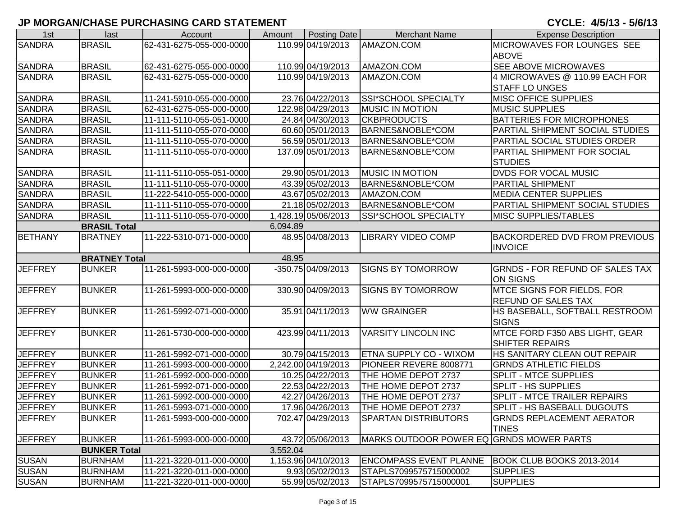| 1st            | last                 | Account                  | Amount   | <b>Posting Date</b>            | <b>Merchant Name</b>                     | <b>Expense Description</b>                         |
|----------------|----------------------|--------------------------|----------|--------------------------------|------------------------------------------|----------------------------------------------------|
| <b>SANDRA</b>  | <b>BRASIL</b>        | 62-431-6275-055-000-0000 |          | 110.99 04/19/2013              | AMAZON.COM                               | MICROWAVES FOR LOUNGES SEE                         |
|                |                      |                          |          |                                |                                          | <b>ABOVE</b>                                       |
| <b>SANDRA</b>  | <b>BRASIL</b>        | 62-431-6275-055-000-0000 |          | 110.99 04/19/2013              | AMAZON.COM                               | SEE ABOVE MICROWAVES                               |
| <b>SANDRA</b>  | <b>BRASIL</b>        | 62-431-6275-055-000-0000 |          | 110.99 04/19/2013              | AMAZON.COM                               | 4 MICROWAVES @ 110.99 EACH FOR                     |
|                |                      |                          |          |                                |                                          | <b>STAFF LO UNGES</b>                              |
| <b>SANDRA</b>  | <b>BRASIL</b>        | 11-241-5910-055-000-0000 |          | 23.76 04/22/2013               | <b>SSI*SCHOOL SPECIALTY</b>              | <b>MISC OFFICE SUPPLIES</b>                        |
| <b>SANDRA</b>  | <b>BRASIL</b>        | 62-431-6275-055-000-0000 |          | 122.98 04/29/2013              | <b>MUSIC IN MOTION</b>                   | <b>MUSIC SUPPLIES</b>                              |
| <b>SANDRA</b>  | <b>BRASIL</b>        | 11-111-5110-055-051-0000 |          | 24.84 04/30/2013               | <b>CKBPRODUCTS</b>                       | <b>BATTERIES FOR MICROPHONES</b>                   |
| <b>SANDRA</b>  | <b>BRASIL</b>        | 11-111-5110-055-070-0000 |          | 60.60 05/01/2013               | BARNES&NOBLE*COM                         | PARTIAL SHIPMENT SOCIAL STUDIES                    |
| <b>SANDRA</b>  | <b>BRASIL</b>        | 11-111-5110-055-070-0000 |          | 56.59 05/01/2013               | BARNES&NOBLE*COM                         | PARTIAL SOCIAL STUDIES ORDER                       |
| <b>SANDRA</b>  | <b>BRASIL</b>        | 11-111-5110-055-070-0000 |          | 137.09 05/01/2013              | BARNES&NOBLE*COM                         | PARTIAL SHIPMENT FOR SOCIAL                        |
|                |                      |                          |          |                                |                                          | <b>STUDIES</b>                                     |
| <b>SANDRA</b>  | <b>BRASIL</b>        | 11-111-5110-055-051-0000 |          | 29.90 05/01/2013               | <b>MUSIC IN MOTION</b>                   | <b>DVDS FOR VOCAL MUSIC</b>                        |
| <b>SANDRA</b>  | <b>BRASIL</b>        | 11-111-5110-055-070-0000 |          | 43.39 05/02/2013               | BARNES&NOBLE*COM                         | <b>PARTIAL SHIPMENT</b>                            |
| <b>SANDRA</b>  | <b>BRASIL</b>        | 11-222-5410-055-000-0000 |          | 43.67 05/02/2013               | AMAZON.COM                               | <b>MEDIA CENTER SUPPLIES</b>                       |
| <b>SANDRA</b>  | <b>BRASIL</b>        | 11-111-5110-055-070-0000 |          | 21.18 05/02/2013               | BARNES&NOBLE*COM                         | PARTIAL SHIPMENT SOCIAL STUDIES                    |
| <b>SANDRA</b>  | <b>BRASIL</b>        | 11-111-5110-055-070-0000 |          | 1,428.19 05/06/2013            | SSI*SCHOOL SPECIALTY                     | <b>MISC SUPPLIES/TABLES</b>                        |
|                | <b>BRASIL Total</b>  |                          | 6,094.89 |                                |                                          |                                                    |
| <b>BETHANY</b> | <b>BRATNEY</b>       | 11-222-5310-071-000-0000 |          | 48.95 04/08/2013               | <b>LIBRARY VIDEO COMP</b>                | <b>BACKORDERED DVD FROM PREVIOUS</b>               |
|                |                      |                          |          |                                |                                          | <b>INVOICE</b>                                     |
|                | <b>BRATNEY Total</b> |                          | 48.95    |                                |                                          |                                                    |
| <b>JEFFREY</b> | <b>BUNKER</b>        | 11-261-5993-000-000-0000 |          | $-350.75\overline{04/09/2013}$ | <b>SIGNS BY TOMORROW</b>                 | <b>GRNDS - FOR REFUND OF SALES TAX</b>             |
|                |                      |                          |          |                                |                                          | <b>ON SIGNS</b>                                    |
| <b>JEFFREY</b> | <b>BUNKER</b>        | 11-261-5993-000-000-0000 |          | 330.90 04/09/2013              | <b>SIGNS BY TOMORROW</b>                 | <b>MTCE SIGNS FOR FIELDS, FOR</b>                  |
|                |                      |                          |          |                                |                                          | <b>REFUND OF SALES TAX</b>                         |
| <b>JEFFREY</b> | <b>BUNKER</b>        | 11-261-5992-071-000-0000 |          | 35.91 04/11/2013               | <b>WW GRAINGER</b>                       | HS BASEBALL, SOFTBALL RESTROOM                     |
|                |                      |                          |          |                                |                                          | <b>SIGNS</b>                                       |
| <b>JEFFREY</b> | <b>BUNKER</b>        | 11-261-5730-000-000-0000 |          | 423.99 04/11/2013              | <b>VARSITY LINCOLN INC</b>               | MTCE FORD F350 ABS LIGHT, GEAR                     |
|                |                      |                          |          |                                |                                          | SHIFTER REPAIRS                                    |
| <b>JEFFREY</b> | <b>BUNKER</b>        | 11-261-5992-071-000-0000 |          | 30.79 04/15/2013               | <b>ETNA SUPPLY CO - WIXOM</b>            | HS SANITARY CLEAN OUT REPAIR                       |
| <b>JEFFREY</b> | <b>BUNKER</b>        | 11-261-5993-000-000-0000 |          | 2,242.00 04/19/2013            | PIONEER REVERE 8008771                   | <b>GRNDS ATHLETIC FIELDS</b>                       |
| <b>JEFFREY</b> | <b>BUNKER</b>        | 11-261-5992-000-000-0000 |          | 10.25 04/22/2013               | THE HOME DEPOT 2737                      | SPLIT - MTCE SUPPLIES                              |
| <b>JEFFREY</b> | <b>BUNKER</b>        | 11-261-5992-071-000-0000 |          | 22.53 04/22/2013               | THE HOME DEPOT 2737                      | <b>SPLIT - HS SUPPLIES</b>                         |
| <b>JEFFREY</b> | <b>BUNKER</b>        | 11-261-5992-000-000-0000 |          | 42.27 04/26/2013               | THE HOME DEPOT 2737                      | SPLIT - MTCE TRAILER REPAIRS                       |
| <b>JEFFREY</b> | <b>BUNKER</b>        | 11-261-5993-071-000-0000 |          | 17.96 04/26/2013               | THE HOME DEPOT 2737                      | SPLIT - HS BASEBALL DUGOUTS                        |
| <b>JEFFREY</b> | <b>BUNKER</b>        | 11-261-5993-000-000-0000 |          | 702.47 04/29/2013              | <b>SPARTAN DISTRIBUTORS</b>              | <b>GRNDS REPLACEMENT AERATOR</b>                   |
|                |                      |                          |          |                                |                                          | <b>TINES</b>                                       |
| <b>JEFFREY</b> | <b>BUNKER</b>        | 11-261-5993-000-000-0000 |          | 43.72 05/06/2013               | MARKS OUTDOOR POWER EQ GRNDS MOWER PARTS |                                                    |
|                | <b>BUNKER Total</b>  |                          | 3,552.04 |                                |                                          |                                                    |
| <b>SUSAN</b>   | <b>BURNHAM</b>       | 11-221-3220-011-000-0000 |          | 1,153.96 04/10/2013            |                                          | ENCOMPASS EVENT PLANNE   BOOK CLUB BOOKS 2013-2014 |
| <b>SUSAN</b>   | <b>BURNHAM</b>       | 11-221-3220-011-000-0000 |          | 9.93 05/02/2013                | STAPLS7099575715000002                   | <b>SUPPLIES</b>                                    |
| <b>SUSAN</b>   | <b>BURNHAM</b>       | 11-221-3220-011-000-0000 |          | 55.99 05/02/2013               | STAPLS7099575715000001                   | <b>SUPPLIES</b>                                    |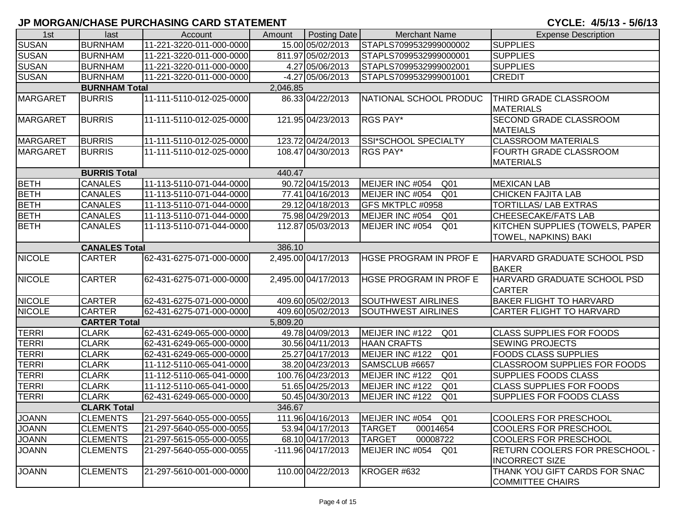| 1st             | last                 | Account                  | Amount   | Posting Date        | <b>Merchant Name</b>               | <b>Expense Description</b>                              |
|-----------------|----------------------|--------------------------|----------|---------------------|------------------------------------|---------------------------------------------------------|
| <b>SUSAN</b>    | <b>BURNHAM</b>       | 11-221-3220-011-000-0000 |          | 15.00 05/02/2013    | STAPLS7099532999000002             | <b>SUPPLIES</b>                                         |
| <b>SUSAN</b>    | <b>BURNHAM</b>       | 11-221-3220-011-000-0000 |          | 811.97 05/02/2013   | STAPLS7099532999000001             | <b>SUPPLIES</b>                                         |
| <b>SUSAN</b>    | <b>BURNHAM</b>       | 11-221-3220-011-000-0000 |          | 4.27 05/06/2013     | STAPLS7099532999002001             | <b>SUPPLIES</b>                                         |
| <b>SUSAN</b>    | <b>BURNHAM</b>       | 11-221-3220-011-000-0000 |          | -4.27 05/06/2013    | STAPLS7099532999001001             | <b>CREDIT</b>                                           |
|                 | <b>BURNHAM Total</b> |                          | 2,046.85 |                     |                                    |                                                         |
| <b>MARGARET</b> | <b>BURRIS</b>        | 11-111-5110-012-025-0000 |          | 86.33 04/22/2013    | NATIONAL SCHOOL PRODUC             | THIRD GRADE CLASSROOM                                   |
|                 |                      |                          |          |                     |                                    | <b>MATERIALS</b>                                        |
| <b>MARGARET</b> | <b>BURRIS</b>        | 11-111-5110-012-025-0000 |          | 121.95 04/23/2013   | <b>RGS PAY*</b>                    | <b>SECOND GRADE CLASSROOM</b>                           |
|                 |                      |                          |          |                     |                                    | <b>MATEIALS</b>                                         |
| <b>MARGARET</b> | <b>BURRIS</b>        | 11-111-5110-012-025-0000 |          | 123.72 04/24/2013   | SSI*SCHOOL SPECIALTY               | <b>CLASSROOM MATERIALS</b>                              |
| <b>MARGARET</b> | <b>BURRIS</b>        | 11-111-5110-012-025-0000 |          | 108.47 04/30/2013   | <b>RGS PAY*</b>                    | <b>FOURTH GRADE CLASSROOM</b>                           |
|                 |                      |                          |          |                     |                                    | <b>MATERIALS</b>                                        |
|                 | <b>BURRIS Total</b>  |                          | 440.47   |                     |                                    |                                                         |
| <b>BETH</b>     | <b>CANALES</b>       | 11-113-5110-071-044-0000 |          | 90.72 04/15/2013    | MEIJER INC #054<br>Q <sub>01</sub> | <b>MEXICAN LAB</b>                                      |
| <b>BETH</b>     | <b>CANALES</b>       | 11-113-5110-071-044-0000 |          | 77.41 04/16/2013    | MEIJER INC #054<br>Q <sub>01</sub> | <b>CHICKEN FAJITA LAB</b>                               |
| <b>BETH</b>     | <b>CANALES</b>       | 11-113-5110-071-044-0000 |          | 29.12 04/18/2013    | GFS MKTPLC #0958                   | <b>TORTILLAS/ LAB EXTRAS</b>                            |
| <b>BETH</b>     | <b>CANALES</b>       | 11-113-5110-071-044-0000 |          | 75.98 04/29/2013    | MEIJER INC #054<br>Q <sub>01</sub> | <b>CHEESECAKE/FATS LAB</b>                              |
| <b>BETH</b>     | <b>CANALES</b>       | 11-113-5110-071-044-0000 |          | 112.87 05/03/2013   | MEIJER INC #054<br>Q <sub>01</sub> | KITCHEN SUPPLIES (TOWELS, PAPER                         |
|                 |                      |                          |          |                     |                                    | <b>TOWEL, NAPKINS) BAKI</b>                             |
|                 | <b>CANALES Total</b> |                          | 386.10   |                     |                                    |                                                         |
| <b>NICOLE</b>   | <b>CARTER</b>        | 62-431-6275-071-000-0000 |          | 2,495.00 04/17/2013 | <b>HGSE PROGRAM IN PROF E</b>      | <b>HARVARD GRADUATE SCHOOL PSD</b>                      |
|                 |                      |                          |          |                     |                                    | <b>BAKER</b>                                            |
| <b>NICOLE</b>   | <b>CARTER</b>        | 62-431-6275-071-000-0000 |          | 2,495.00 04/17/2013 | <b>HGSE PROGRAM IN PROF E</b>      | HARVARD GRADUATE SCHOOL PSD<br><b>CARTER</b>            |
| <b>NICOLE</b>   | <b>CARTER</b>        | 62-431-6275-071-000-0000 |          | 409.60 05/02/2013   | <b>SOUTHWEST AIRLINES</b>          | <b>BAKER FLIGHT TO HARVARD</b>                          |
| <b>NICOLE</b>   | <b>CARTER</b>        | 62-431-6275-071-000-0000 |          | 409.60 05/02/2013   | <b>SOUTHWEST AIRLINES</b>          | <b>CARTER FLIGHT TO HARVARD</b>                         |
|                 | <b>CARTER Total</b>  |                          | 5,809.20 |                     |                                    |                                                         |
| <b>TERRI</b>    | <b>CLARK</b>         | 62-431-6249-065-000-0000 |          | 49.78 04/09/2013    | MEIJER INC #122<br>Q <sub>01</sub> | <b>CLASS SUPPLIES FOR FOODS</b>                         |
| <b>TERRI</b>    | <b>CLARK</b>         | 62-431-6249-065-000-0000 |          | 30.56 04/11/2013    | <b>HAAN CRAFTS</b>                 | <b>SEWING PROJECTS</b>                                  |
| <b>TERRI</b>    | <b>CLARK</b>         | 62-431-6249-065-000-0000 |          | 25.27 04/17/2013    | Q <sub>01</sub><br>MEIJER INC #122 | <b>FOODS CLASS SUPPLIES</b>                             |
| <b>TERRI</b>    | <b>CLARK</b>         | 11-112-5110-065-041-0000 |          | 38.20 04/23/2013    | SAMSCLUB #6657                     | <b>CLASSROOM SUPPLIES FOR FOODS</b>                     |
| <b>TERRI</b>    | <b>CLARK</b>         | 11-112-5110-065-041-0000 |          | 100.76 04/23/2013   | MEIJER INC #122<br>Q <sub>01</sub> | <b>SUPPLIES FOODS CLASS</b>                             |
| <b>TERRI</b>    | <b>CLARK</b>         | 11-112-5110-065-041-0000 |          | 51.65 04/25/2013    | MEIJER INC #122<br>Q <sub>01</sub> | <b>CLASS SUPPLIES FOR FOODS</b>                         |
| <b>TERRI</b>    | <b>CLARK</b>         | 62-431-6249-065-000-0000 |          | 50.45 04/30/2013    | MEIJER INC #122<br>Q <sub>01</sub> | <b>SUPPLIES FOR FOODS CLASS</b>                         |
|                 | <b>CLARK Total</b>   |                          | 346.67   |                     |                                    |                                                         |
| <b>JOANN</b>    | <b>CLEMENTS</b>      | 21-297-5640-055-000-0055 |          | 111.96 04/16/2013   | MEIJER INC #054<br>Q01             | <b>COOLERS FOR PRESCHOOL</b>                            |
| <b>JOANN</b>    | <b>CLEMENTS</b>      | 21-297-5640-055-000-0055 |          | 53.94 04/17/2013    | <b>TARGET</b><br>00014654          | <b>COOLERS FOR PRESCHOOL</b>                            |
| <b>JOANN</b>    | <b>CLEMENTS</b>      | 21-297-5615-055-000-0055 |          | 68.10 04/17/2013    | <b>TARGET</b><br>00008722          | <b>COOLERS FOR PRESCHOOL</b>                            |
| <b>JOANN</b>    | <b>CLEMENTS</b>      | 21-297-5640-055-000-0055 |          | -111.96 04/17/2013  | MEIJER INC #054<br>Q01             | RETURN COOLERS FOR PRESCHOOL -<br><b>INCORRECT SIZE</b> |
| <b>JOANN</b>    | <b>CLEMENTS</b>      | 21-297-5610-001-000-0000 |          | 110.00 04/22/2013   | KROGER #632                        | THANK YOU GIFT CARDS FOR SNAC<br>COMMITTEE CHAIRS       |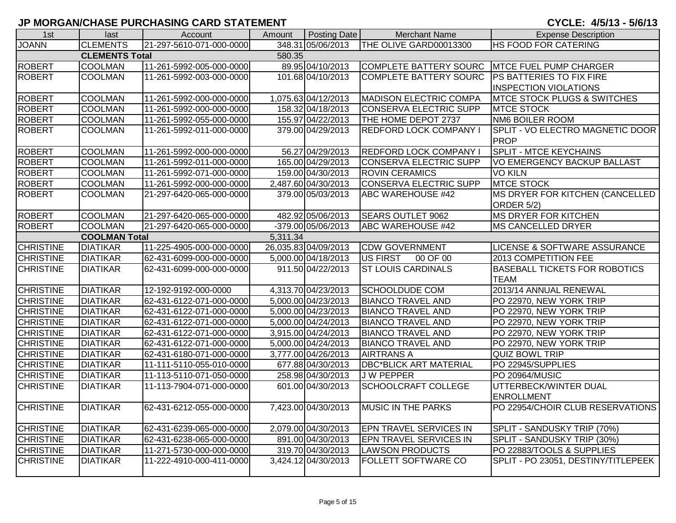| 1st              | last                  | Account                  | Amount   | <b>Posting Date</b>  | <b>Merchant Name</b>          | <b>Expense Description</b>              |
|------------------|-----------------------|--------------------------|----------|----------------------|-------------------------------|-----------------------------------------|
| <b>JOANN</b>     | <b>CLEMENTS</b>       | 21-297-5610-071-000-0000 |          | 348.31 05/06/2013    | THE OLIVE GARD00013300        | <b>HS FOOD FOR CATERING</b>             |
|                  | <b>CLEMENTS Total</b> |                          | 580.35   |                      |                               |                                         |
| <b>ROBERT</b>    | <b>COOLMAN</b>        | 11-261-5992-005-000-0000 |          | 89.95 04/10/2013     | COMPLETE BATTERY SOURC        | <b>MTCE FUEL PUMP CHARGER</b>           |
| <b>ROBERT</b>    | <b>COOLMAN</b>        | 11-261-5992-003-000-0000 |          | 101.68 04/10/2013    | <b>COMPLETE BATTERY SOURC</b> | <b>PS BATTERIES TO FIX FIRE</b>         |
|                  |                       |                          |          |                      |                               | <b>INSPECTION VIOLATIONS</b>            |
| <b>ROBERT</b>    | <b>COOLMAN</b>        | 11-261-5992-000-000-0000 |          | 1,075.63 04/12/2013  | <b>MADISON ELECTRIC COMPA</b> | <b>MTCE STOCK PLUGS &amp; SWITCHES</b>  |
| <b>ROBERT</b>    | COOLMAN               | 11-261-5992-000-000-0000 |          | 158.32 04/18/2013    | CONSERVA ELECTRIC SUPP        | <b>MTCE STOCK</b>                       |
| <b>ROBERT</b>    | <b>COOLMAN</b>        | 11-261-5992-055-000-0000 |          | 155.97 04/22/2013    | THE HOME DEPOT 2737           | NM6 BOILER ROOM                         |
| <b>ROBERT</b>    | <b>COOLMAN</b>        | 11-261-5992-011-000-0000 |          | 379.00 04/29/2013    | <b>REDFORD LOCK COMPANY I</b> | SPLIT - VO ELECTRO MAGNETIC DOOR        |
|                  |                       |                          |          |                      |                               | <b>PROP</b>                             |
| <b>ROBERT</b>    | <b>COOLMAN</b>        | 11-261-5992-000-000-0000 |          | 56.27 04/29/2013     | <b>REDFORD LOCK COMPANY</b>   | <b>SPLIT - MTCE KEYCHAINS</b>           |
| <b>ROBERT</b>    | <b>COOLMAN</b>        | 11-261-5992-011-000-0000 |          | 165.00 04/29/2013    | CONSERVA ELECTRIC SUPP        | <b>VO EMERGENCY BACKUP BALLAST</b>      |
| <b>ROBERT</b>    | <b>COOLMAN</b>        | 11-261-5992-071-000-0000 |          | 159.00 04/30/2013    | <b>ROVIN CERAMICS</b>         | <b>VO KILN</b>                          |
| <b>ROBERT</b>    | <b>COOLMAN</b>        | 11-261-5992-000-000-0000 |          | 2,487.60 04/30/2013  | CONSERVA ELECTRIC SUPP        | <b>MTCE STOCK</b>                       |
| <b>ROBERT</b>    | <b>COOLMAN</b>        | 21-297-6420-065-000-0000 |          | 379.00 05/03/2013    | <b>ABC WAREHOUSE #42</b>      | MS DRYER FOR KITCHEN (CANCELLED         |
|                  |                       |                          |          |                      |                               | ORDER 5/2)                              |
| <b>ROBERT</b>    | <b>COOLMAN</b>        | 21-297-6420-065-000-0000 |          | 482.92 05/06/2013    | <b>SEARS OUTLET 9062</b>      | <b>MS DRYER FOR KITCHEN</b>             |
| <b>ROBERT</b>    | <b>COOLMAN</b>        | 21-297-6420-065-000-0000 |          | -379.00 05/06/2013   | ABC WAREHOUSE #42             | <b>MS CANCELLED DRYER</b>               |
|                  | <b>COOLMAN Total</b>  |                          | 5,311.34 |                      |                               |                                         |
| <b>CHRISTINE</b> | <b>DIATIKAR</b>       | 11-225-4905-000-000-0000 |          | 26,035.83 04/09/2013 | <b>CDW GOVERNMENT</b>         | <b>LICENSE &amp; SOFTWARE ASSURANCE</b> |
| <b>CHRISTINE</b> | <b>DIATIKAR</b>       | 62-431-6099-000-000-0000 |          | 5,000.00 04/18/2013  | US FIRST<br>00 OF 00          | 2013 COMPETITION FEE                    |
| <b>CHRISTINE</b> | <b>DIATIKAR</b>       | 62-431-6099-000-000-0000 |          | 911.50 04/22/2013    | <b>ST LOUIS CARDINALS</b>     | <b>BASEBALL TICKETS FOR ROBOTICS</b>    |
|                  |                       |                          |          |                      |                               | <b>TEAM</b>                             |
| <b>CHRISTINE</b> | <b>DIATIKAR</b>       | 12-192-9192-000-0000     |          | 4,313.70 04/23/2013  | <b>SCHOOLDUDE COM</b>         | 2013/14 ANNUAL RENEWAL                  |
| <b>CHRISTINE</b> | <b>DIATIKAR</b>       | 62-431-6122-071-000-0000 |          | 5,000.00 04/23/2013  | <b>BIANCO TRAVEL AND</b>      | PO 22970, NEW YORK TRIP                 |
| <b>CHRISTINE</b> | <b>DIATIKAR</b>       | 62-431-6122-071-000-0000 |          | 5,000.00 04/23/2013  | <b>BIANCO TRAVEL AND</b>      | PO 22970, NEW YORK TRIP                 |
| <b>CHRISTINE</b> | <b>DIATIKAR</b>       | 62-431-6122-071-000-0000 |          | 5,000.00 04/24/2013  | <b>BIANCO TRAVEL AND</b>      | PO 22970, NEW YORK TRIP                 |
| <b>CHRISTINE</b> | <b>DIATIKAR</b>       | 62-431-6122-071-000-0000 |          | 3,915.00 04/24/2013  | <b>BIANCO TRAVEL AND</b>      | PO 22970, NEW YORK TRIP                 |
| <b>CHRISTINE</b> | <b>DIATIKAR</b>       | 62-431-6122-071-000-0000 |          | 5,000.00 04/24/2013  | <b>BIANCO TRAVEL AND</b>      | PO 22970, NEW YORK TRIP                 |
| <b>CHRISTINE</b> | <b>DIATIKAR</b>       | 62-431-6180-071-000-0000 |          | 3,777.00 04/26/2013  | <b>AIRTRANS A</b>             | <b>QUIZ BOWL TRIP</b>                   |
| <b>CHRISTINE</b> | <b>DIATIKAR</b>       | 11-111-5110-055-010-0000 |          | 677.88 04/30/2013    | <b>DBC*BLICK ART MATERIAL</b> | PO 22945/SUPPLIES                       |
| <b>CHRISTINE</b> | <b>DIATIKAR</b>       | 11-113-5110-071-050-0000 |          | 258.98 04/30/2013    | <b>JW PEPPER</b>              | PO 20964/MUSIC                          |
| <b>CHRISTINE</b> | <b>DIATIKAR</b>       | 11-113-7904-071-000-0000 |          | 601.00 04/30/2013    | SCHOOLCRAFT COLLEGE           | UTTERBECK/WINTER DUAL                   |
|                  |                       |                          |          |                      |                               | <b>ENROLLMENT</b>                       |
| <b>CHRISTINE</b> | <b>DIATIKAR</b>       | 62-431-6212-055-000-0000 |          | 7,423.00 04/30/2013  | <b>MUSIC IN THE PARKS</b>     | PO 22954/CHOIR CLUB RESERVATIONS        |
|                  |                       |                          |          |                      |                               |                                         |
| <b>CHRISTINE</b> | <b>DIATIKAR</b>       | 62-431-6239-065-000-0000 |          | 2,079.00 04/30/2013  | <b>EPN TRAVEL SERVICES IN</b> | SPLIT - SANDUSKY TRIP (70%)             |
| <b>CHRISTINE</b> | <b>DIATIKAR</b>       | 62-431-6238-065-000-0000 |          | 891.00 04/30/2013    | <b>EPN TRAVEL SERVICES IN</b> | SPLIT - SANDUSKY TRIP (30%)             |
| <b>CHRISTINE</b> | <b>DIATIKAR</b>       | 11-271-5730-000-000-0000 |          | 319.70 04/30/2013    | <b>LAWSON PRODUCTS</b>        | PO 22883/TOOLS & SUPPLIES               |
| <b>CHRISTINE</b> | <b>DIATIKAR</b>       | 11-222-4910-000-411-0000 |          | 3,424.12 04/30/2013  | <b>FOLLETT SOFTWARE CO</b>    | SPLIT - PO 23051, DESTINY/TITLEPEEK     |
|                  |                       |                          |          |                      |                               |                                         |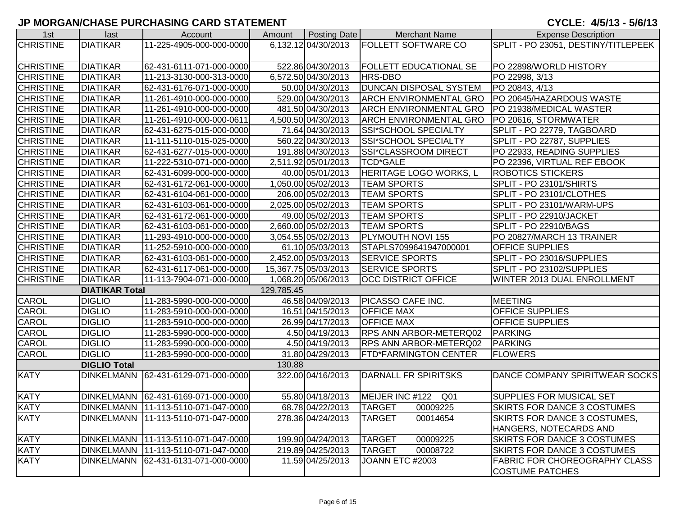| 1st              | last                  | Account                             | Amount     | Posting Date         | Merchant Name                      | <b>Expense Description</b>          |
|------------------|-----------------------|-------------------------------------|------------|----------------------|------------------------------------|-------------------------------------|
| <b>CHRISTINE</b> | <b>DIATIKAR</b>       | 11-225-4905-000-000-0000            |            | 6,132.12 04/30/2013  | <b>FOLLETT SOFTWARE CO</b>         | SPLIT - PO 23051, DESTINY/TITLEPEEK |
|                  |                       |                                     |            |                      |                                    |                                     |
| <b>CHRISTINE</b> | <b>DIATIKAR</b>       | 62-431-6111-071-000-0000            |            | 522.86 04/30/2013    | <b>FOLLETT EDUCATIONAL SE</b>      | PO 22898/WORLD HISTORY              |
| <b>CHRISTINE</b> | <b>DIATIKAR</b>       | 11-213-3130-000-313-0000            |            | 6,572.50 04/30/2013  | HRS-DBO                            | PO 22998, 3/13                      |
| <b>CHRISTINE</b> | <b>DIATIKAR</b>       | 62-431-6176-071-000-0000            |            | 50.00 04/30/2013     | <b>DUNCAN DISPOSAL SYSTEM</b>      | PO 20843, 4/13                      |
| <b>CHRISTINE</b> | <b>DIATIKAR</b>       | 11-261-4910-000-000-0000            |            | 529.00 04/30/2013    | <b>ARCH ENVIRONMENTAL GRO</b>      | PO 20645/HAZARDOUS WASTE            |
| <b>CHRISTINE</b> | <b>DIATIKAR</b>       | 11-261-4910-000-000-0000            |            | 481.50 04/30/2013    | <b>ARCH ENVIRONMENTAL GRO</b>      | PO 21938/MEDICAL WASTER             |
| <b>CHRISTINE</b> | <b>DIATIKAR</b>       | 11-261-4910-000-000-0611            |            | 4,500.50 04/30/2013  | <b>ARCH ENVIRONMENTAL GRO</b>      | PO 20616, STORMWATER                |
| <b>CHRISTINE</b> | <b>DIATIKAR</b>       | 62-431-6275-015-000-0000            |            | 71.64 04/30/2013     | SSI*SCHOOL SPECIALTY               | SPLIT - PO 22779, TAGBOARD          |
| <b>CHRISTINE</b> | <b>DIATIKAR</b>       | 11-111-5110-015-025-0000            |            | 560.22 04/30/2013    | SSI*SCHOOL SPECIALTY               | SPLIT - PO 22787, SUPPLIES          |
| <b>CHRISTINE</b> | <b>DIATIKAR</b>       | 62-431-6277-015-000-0000            |            | 191.88 04/30/2013    | SSI*CLASSROOM DIRECT               | PO 22933, READING SUPPLIES          |
| <b>CHRISTINE</b> | <b>DIATIKAR</b>       | 11-222-5310-071-000-0000            |            | 2,511.92 05/01/2013  | <b>TCD*GALE</b>                    | PO 22396, VIRTUAL REF EBOOK         |
| <b>CHRISTINE</b> | <b>DIATIKAR</b>       | 62-431-6099-000-000-0000            |            | 40.00 05/01/2013     | HERITAGE LOGO WORKS, L             | ROBOTICS STICKERS                   |
| <b>CHRISTINE</b> | <b>DIATIKAR</b>       | 62-431-6172-061-000-0000            |            | 1,050.00 05/02/2013  | <b>TEAM SPORTS</b>                 | SPLIT - PO 23101/SHIRTS             |
| <b>CHRISTINE</b> | <b>DIATIKAR</b>       | 62-431-6104-061-000-0000            |            | 206.00 05/02/2013    | <b>TEAM SPORTS</b>                 | SPLIT - PO 23101/CLOTHES            |
| <b>CHRISTINE</b> | <b>DIATIKAR</b>       | 62-431-6103-061-000-0000            |            | 2,025.00 05/02/2013  | <b>TEAM SPORTS</b>                 | SPLIT - PO 23101/WARM-UPS           |
| <b>CHRISTINE</b> | <b>DIATIKAR</b>       | 62-431-6172-061-000-0000            |            | 49.00 05/02/2013     | <b>TEAM SPORTS</b>                 | SPLIT - PO 22910/JACKET             |
| <b>CHRISTINE</b> | <b>DIATIKAR</b>       | 62-431-6103-061-000-0000            |            | 2,660.00 05/02/2013  | <b>TEAM SPORTS</b>                 | SPLIT - PO 22910/BAGS               |
| <b>CHRISTINE</b> | <b>DIATIKAR</b>       | 11-293-4910-000-000-0000            |            | 3,054.55 05/02/2013  | <b>PLYMOUTH NOVI 155</b>           | PO 20827/MARCH 13 TRAINER           |
| <b>CHRISTINE</b> | <b>DIATIKAR</b>       | 11-252-5910-000-000-0000            |            | 61.10 05/03/2013     | STAPLS7099641947000001             | <b>OFFICE SUPPLIES</b>              |
| <b>CHRISTINE</b> | <b>DIATIKAR</b>       | 62-431-6103-061-000-0000            |            | 2,452.00 05/03/2013  | <b>SERVICE SPORTS</b>              | SPLIT - PO 23016/SUPPLIES           |
| <b>CHRISTINE</b> | <b>DIATIKAR</b>       | 62-431-6117-061-000-0000            |            | 15,367.75 05/03/2013 | <b>SERVICE SPORTS</b>              | SPLIT - PO 23102/SUPPLIES           |
| <b>CHRISTINE</b> | <b>DIATIKAR</b>       | 11-113-7904-071-000-0000            |            | 1,068.20 05/06/2013  | <b>OCC DISTRICT OFFICE</b>         | WINTER 2013 DUAL ENROLLMENT         |
|                  | <b>DIATIKAR Total</b> |                                     | 129,785.45 |                      |                                    |                                     |
| CAROL            | <b>DIGLIO</b>         | 11-283-5990-000-000-0000            |            | 46.58 04/09/2013     | PICASSO CAFE INC.                  | <b>MEETING</b>                      |
| <b>CAROL</b>     | <b>DIGLIO</b>         | 11-283-5910-000-000-0000            |            | 16.51 04/15/2013     | <b>OFFICE MAX</b>                  | <b>OFFICE SUPPLIES</b>              |
| CAROL            | <b>DIGLIO</b>         | 11-283-5910-000-000-0000            |            | 26.99 04/17/2013     | <b>OFFICE MAX</b>                  | OFFICE SUPPLIES                     |
| <b>CAROL</b>     | <b>DIGLIO</b>         | 11-283-5990-000-000-0000            |            | 4.50 04/19/2013      | <b>RPS ANN ARBOR-METERQ02</b>      | <b>PARKING</b>                      |
| <b>CAROL</b>     | <b>DIGLIO</b>         | 11-283-5990-000-000-0000            |            | 4.50 04/19/2013      | <b>RPS ANN ARBOR-METERQ02</b>      | <b>PARKING</b>                      |
| <b>CAROL</b>     | <b>DIGLIO</b>         | 11-283-5990-000-000-0000            |            | 31.80 04/29/2013     | <b>FTD*FARMINGTON CENTER</b>       | <b>FLOWERS</b>                      |
|                  | <b>DIGLIO Total</b>   |                                     | 130.88     |                      |                                    |                                     |
| <b>KATY</b>      | <b>DINKELMANN</b>     | 62-431-6129-071-000-0000            |            | 322.00 04/16/2013    | DARNALL FR SPIRITSKS               | DANCE COMPANY SPIRITWEAR SOCKS      |
| <b>KATY</b>      | <b>DINKELMANN</b>     | 62-431-6169-071-000-0000            |            | 55.80 04/18/2013     | MEIJER INC #122<br>Q <sub>01</sub> | SUPPLIES FOR MUSICAL SET            |
| <b>KATY</b>      | <b>DINKELMANN</b>     | 11-113-5110-071-047-0000            |            | 68.78 04/22/2013     | <b>TARGET</b><br>00009225          | SKIRTS FOR DANCE 3 COSTUMES         |
| <b>KATY</b>      | <b>DINKELMANN</b>     | 11-113-5110-071-047-0000            |            | 278.36 04/24/2013    | <b>TARGET</b><br>00014654          | SKIRTS FOR DANCE 3 COSTUMES,        |
|                  |                       |                                     |            |                      |                                    | HANGERS, NOTECARDS AND              |
| <b>KATY</b>      |                       | DINKELMANN 11-113-5110-071-047-0000 |            | 199.90 04/24/2013    | <b>TARGET</b><br>00009225          | SKIRTS FOR DANCE 3 COSTUMES         |
| <b>KATY</b>      | <b>DINKELMANN</b>     | 11-113-5110-071-047-0000            |            | 219.89 04/25/2013    | <b>TARGET</b><br>00008722          | SKIRTS FOR DANCE 3 COSTUMES         |
| <b>KATY</b>      | <b>DINKELMANN</b>     | 62-431-6131-071-000-0000            |            | 11.59 04/25/2013     | JOANN ETC #2003                    | FABRIC FOR CHOREOGRAPHY CLASS       |
|                  |                       |                                     |            |                      |                                    | <b>COSTUME PATCHES</b>              |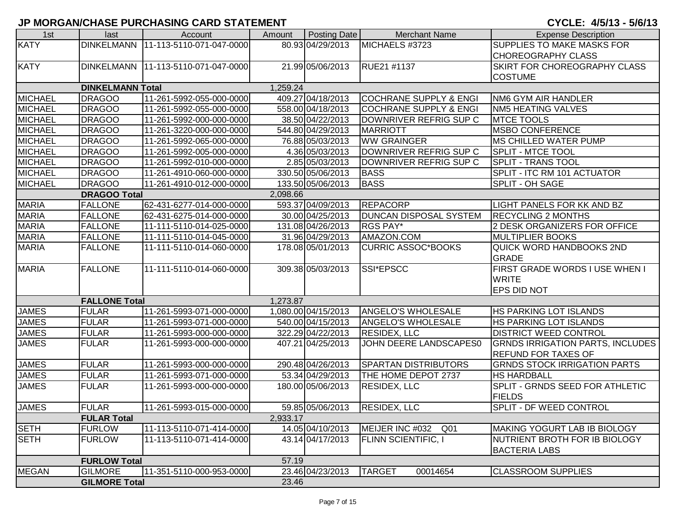| 1st            | last                    | Account                               | Amount   | Posting Date        | <b>Merchant Name</b>              | <b>Expense Description</b>              |
|----------------|-------------------------|---------------------------------------|----------|---------------------|-----------------------------------|-----------------------------------------|
| <b>KATY</b>    | <b>DINKELMANN</b>       | 11-113-5110-071-047-0000              |          | 80.93 04/29/2013    | MICHAELS #3723                    | SUPPLIES TO MAKE MASKS FOR              |
|                |                         |                                       |          |                     |                                   | <b>CHOREOGRAPHY CLASS</b>               |
| <b>KATY</b>    |                         | DINKELMANN   11-113-5110-071-047-0000 |          | 21.99 05/06/2013    | RUE21 #1137                       | SKIRT FOR CHOREOGRAPHY CLASS            |
|                |                         |                                       |          |                     |                                   | <b>COSTUME</b>                          |
|                | <b>DINKELMANN Total</b> |                                       | 1,259.24 |                     |                                   |                                         |
| <b>MICHAEL</b> | <b>DRAGOO</b>           | 11-261-5992-055-000-0000              |          | 409.27 04/18/2013   | <b>COCHRANE SUPPLY &amp; ENGI</b> | NM6 GYM AIR HANDLER                     |
| <b>MICHAEL</b> | <b>DRAGOO</b>           | 11-261-5992-055-000-0000              |          | 558.00 04/18/2013   | <b>COCHRANE SUPPLY &amp; ENGI</b> | <b>NM5 HEATING VALVES</b>               |
| <b>MICHAEL</b> | <b>DRAGOO</b>           | 11-261-5992-000-000-0000              |          | 38.50 04/22/2013    | DOWNRIVER REFRIG SUP C            | <b>MTCE TOOLS</b>                       |
| <b>MICHAEL</b> | <b>DRAGOO</b>           | 11-261-3220-000-000-0000              |          | 544.80 04/29/2013   | <b>MARRIOTT</b>                   | <b>MSBO CONFERENCE</b>                  |
| <b>MICHAEL</b> | <b>DRAGOO</b>           | 11-261-5992-065-000-0000              |          | 76.88 05/03/2013    | <b>WW GRAINGER</b>                | <b>MS CHILLED WATER PUMP</b>            |
| <b>MICHAEL</b> | <b>DRAGOO</b>           | 11-261-5992-005-000-0000              |          | 4.36 05/03/2013     | DOWNRIVER REFRIG SUP C            | <b>SPLIT - MTCE TOOL</b>                |
| <b>MICHAEL</b> | <b>DRAGOO</b>           | 11-261-5992-010-000-0000              |          | 2.85 05/03/2013     | DOWNRIVER REFRIG SUP C            | SPLIT - TRANS TOOL                      |
| <b>MICHAEL</b> | <b>DRAGOO</b>           | 11-261-4910-060-000-0000              |          | 330.50 05/06/2013   | <b>BASS</b>                       | SPLIT - ITC RM 101 ACTUATOR             |
| <b>MICHAEL</b> | <b>DRAGOO</b>           | 11-261-4910-012-000-0000              |          | 133.50 05/06/2013   | <b>BASS</b>                       | SPLIT - OH SAGE                         |
|                | <b>DRAGOO Total</b>     |                                       | 2,098.66 |                     |                                   |                                         |
| <b>MARIA</b>   | <b>FALLONE</b>          | 62-431-6277-014-000-0000              |          | 593.37 04/09/2013   | <b>REPACORP</b>                   | LIGHT PANELS FOR KK AND BZ              |
| <b>MARIA</b>   | <b>FALLONE</b>          | 62-431-6275-014-000-0000              |          | 30.00 04/25/2013    | <b>DUNCAN DISPOSAL SYSTEM</b>     | <b>RECYCLING 2 MONTHS</b>               |
| <b>MARIA</b>   | <b>FALLONE</b>          | 11-111-5110-014-025-0000              |          | 131.08 04/26/2013   | <b>RGS PAY*</b>                   | 2 DESK ORGANIZERS FOR OFFICE            |
| <b>MARIA</b>   | <b>FALLONE</b>          | 11-111-5110-014-045-0000              |          | 31.96 04/29/2013    | AMAZON.COM                        | <b>MULTIPLIER BOOKS</b>                 |
| <b>MARIA</b>   | <b>FALLONE</b>          | 11-111-5110-014-060-0000              |          | 178.08 05/01/2013   | <b>CURRIC ASSOC*BOOKS</b>         | QUICK WORD HANDBOOKS 2ND                |
|                |                         |                                       |          |                     |                                   | <b>GRADE</b>                            |
| <b>MARIA</b>   | <b>FALLONE</b>          | 11-111-5110-014-060-0000              |          | 309.38 05/03/2013   | <b>SSI*EPSCC</b>                  | FIRST GRADE WORDS I USE WHEN I          |
|                |                         |                                       |          |                     |                                   | <b>WRITE</b>                            |
|                |                         |                                       |          |                     |                                   | EPS DID NOT                             |
|                | <b>FALLONE Total</b>    |                                       | 1,273.87 |                     |                                   |                                         |
| <b>JAMES</b>   | <b>FULAR</b>            | 11-261-5993-071-000-0000              |          | 1,080.00 04/15/2013 | <b>ANGELO'S WHOLESALE</b>         | HS PARKING LOT ISLANDS                  |
| <b>JAMES</b>   | <b>FULAR</b>            | 11-261-5993-071-000-0000              |          | 540.00 04/15/2013   | <b>ANGELO'S WHOLESALE</b>         | HS PARKING LOT ISLANDS                  |
| <b>JAMES</b>   | <b>FULAR</b>            | 11-261-5993-000-000-0000              |          | 322.29 04/22/2013   | <b>RESIDEX, LLC</b>               | DISTRICT WEED CONTROL                   |
| <b>JAMES</b>   | <b>FULAR</b>            | 11-261-5993-000-000-0000              |          | 407.21 04/25/2013   | JOHN DEERE LANDSCAPES0            | <b>GRNDS IRRIGATION PARTS, INCLUDES</b> |
|                |                         |                                       |          |                     |                                   | <b>REFUND FOR TAXES OF</b>              |
| <b>JAMES</b>   | <b>FULAR</b>            | 11-261-5993-000-000-0000              |          | 290.48 04/26/2013   | <b>SPARTAN DISTRIBUTORS</b>       | <b>GRNDS STOCK IRRIGATION PARTS</b>     |
| <b>JAMES</b>   | <b>FULAR</b>            | 11-261-5993-071-000-0000              |          | 53.34 04/29/2013    | THE HOME DEPOT 2737               | <b>HS HARDBALL</b>                      |
| <b>JAMES</b>   | <b>FULAR</b>            | 11-261-5993-000-000-0000              |          | 180.00 05/06/2013   | <b>RESIDEX, LLC</b>               | SPLIT - GRNDS SEED FOR ATHLETIC         |
|                |                         |                                       |          |                     |                                   | <b>FIELDS</b>                           |
| <b>JAMES</b>   | <b>FULAR</b>            | 11-261-5993-015-000-0000              |          | 59.85 05/06/2013    | <b>RESIDEX, LLC</b>               | <b>SPLIT - DF WEED CONTROL</b>          |
|                | <b>FULAR Total</b>      |                                       | 2,933.17 |                     |                                   |                                         |
| <b>SETH</b>    | <b>FURLOW</b>           | 11-113-5110-071-414-0000              |          | 14.05 04/10/2013    | MEIJER INC #032<br>Q01            | MAKING YOGURT LAB IB BIOLOGY            |
| <b>SETH</b>    | <b>FURLOW</b>           | 11-113-5110-071-414-0000              |          | 43.14 04/17/2013    | <b>FLINN SCIENTIFIC, I</b>        | NUTRIENT BROTH FOR IB BIOLOGY           |
|                |                         |                                       |          |                     |                                   | <b>BACTERIA LABS</b>                    |
|                | <b>FURLOW Total</b>     |                                       | 57.19    |                     |                                   |                                         |
| <b>MEGAN</b>   | <b>GILMORE</b>          | 11-351-5110-000-953-0000              |          | 23.46 04/23/2013    | <b>TARGET</b><br>00014654         | <b>CLASSROOM SUPPLIES</b>               |
|                | <b>GILMORE Total</b>    |                                       | 23.46    |                     |                                   |                                         |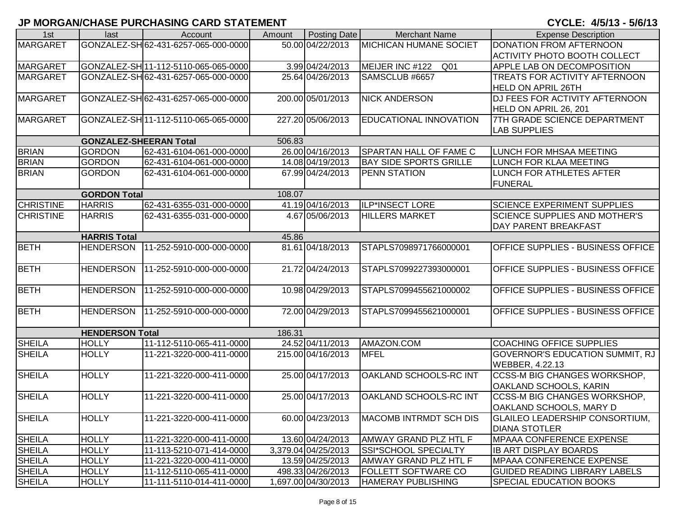| 1st              | last                          | Account                              | Amount | Posting Date        | <b>Merchant Name</b>               | <b>Expense Description</b>             |
|------------------|-------------------------------|--------------------------------------|--------|---------------------|------------------------------------|----------------------------------------|
| <b>MARGARET</b>  |                               | GONZALEZ-SH 62-431-6257-065-000-0000 |        | 50.00 04/22/2013    | <b>MICHICAN HUMANE SOCIET</b>      | <b>DONATION FROM AFTERNOON</b>         |
|                  |                               |                                      |        |                     |                                    | <b>ACTIVITY PHOTO BOOTH COLLECT</b>    |
| <b>MARGARET</b>  |                               | GONZALEZ-SH 11-112-5110-065-065-0000 |        | 3.99 04/24/2013     | MEIJER INC #122<br>Q <sub>01</sub> | APPLE LAB ON DECOMPOSITION             |
| <b>MARGARET</b>  |                               | GONZALEZ-SH 62-431-6257-065-000-0000 |        | 25.64 04/26/2013    | SAMSCLUB #6657                     | TREATS FOR ACTIVITY AFTERNOON          |
|                  |                               |                                      |        |                     |                                    | <b>HELD ON APRIL 26TH</b>              |
| <b>MARGARET</b>  |                               | GONZALEZ-SH62-431-6257-065-000-0000  |        | 200.00 05/01/2013   | <b>NICK ANDERSON</b>               | DJ FEES FOR ACTIVITY AFTERNOON         |
|                  |                               |                                      |        |                     |                                    | HELD ON APRIL 26, 201                  |
| <b>MARGARET</b>  |                               | GONZALEZ-SH 11-112-5110-065-065-0000 |        | 227.20 05/06/2013   | EDUCATIONAL INNOVATION             | 7TH GRADE SCIENCE DEPARTMENT           |
|                  |                               |                                      |        |                     |                                    | <b>LAB SUPPLIES</b>                    |
|                  | <b>GONZALEZ-SHEERAN Total</b> |                                      | 506.83 |                     |                                    |                                        |
| <b>BRIAN</b>     | <b>GORDON</b>                 | 62-431-6104-061-000-0000             |        | 26.00 04/16/2013    | SPARTAN HALL OF FAME C             | LUNCH FOR MHSAA MEETING                |
| <b>BRIAN</b>     | <b>GORDON</b>                 | 62-431-6104-061-000-0000             |        | 14.08 04/19/2013    | <b>BAY SIDE SPORTS GRILLE</b>      | LUNCH FOR KLAA MEETING                 |
| <b>BRIAN</b>     | <b>GORDON</b>                 | 62-431-6104-061-000-0000             |        | 67.99 04/24/2013    | PENN STATION                       | LUNCH FOR ATHLETES AFTER               |
|                  |                               |                                      |        |                     |                                    | <b>FUNERAL</b>                         |
|                  | <b>GORDON Total</b>           |                                      | 108.07 |                     |                                    |                                        |
| <b>CHRISTINE</b> | <b>HARRIS</b>                 | 62-431-6355-031-000-0000             |        | 41.19 04/16/2013    | ILP*INSECT LORE                    | <b>SCIENCE EXPERIMENT SUPPLIES</b>     |
| <b>CHRISTINE</b> | <b>HARRIS</b>                 | 62-431-6355-031-000-0000             |        | 4.67 05/06/2013     | <b>HILLERS MARKET</b>              | <b>SCIENCE SUPPLIES AND MOTHER'S</b>   |
|                  |                               |                                      |        |                     |                                    | DAY PARENT BREAKFAST                   |
|                  | <b>HARRIS Total</b>           |                                      | 45.86  |                     |                                    |                                        |
| <b>BETH</b>      | <b>HENDERSON</b>              | 11-252-5910-000-000-0000             |        | 81.61 04/18/2013    | STAPLS7098971766000001             | OFFICE SUPPLIES - BUSINESS OFFICE      |
|                  |                               |                                      |        |                     |                                    |                                        |
| <b>BETH</b>      | <b>HENDERSON</b>              | 11-252-5910-000-000-0000             |        | 21.72 04/24/2013    | STAPLS7099227393000001             | OFFICE SUPPLIES - BUSINESS OFFICE      |
|                  |                               |                                      |        |                     |                                    |                                        |
| <b>BETH</b>      | <b>HENDERSON</b>              | 11-252-5910-000-000-0000             |        | 10.98 04/29/2013    | STAPLS7099455621000002             | OFFICE SUPPLIES - BUSINESS OFFICE      |
|                  |                               |                                      |        |                     |                                    |                                        |
| <b>BETH</b>      | <b>HENDERSON</b>              | 11-252-5910-000-000-0000             |        | 72.00 04/29/2013    | STAPLS7099455621000001             | OFFICE SUPPLIES - BUSINESS OFFICE      |
|                  |                               |                                      |        |                     |                                    |                                        |
|                  | <b>HENDERSON Total</b>        |                                      | 186.31 |                     |                                    |                                        |
| <b>SHEILA</b>    | <b>HOLLY</b>                  | 11-112-5110-065-411-0000             |        | 24.52 04/11/2013    | AMAZON.COM                         | <b>COACHING OFFICE SUPPLIES</b>        |
| <b>SHEILA</b>    | <b>HOLLY</b>                  | 11-221-3220-000-411-0000             |        | 215.00 04/16/2013   | <b>MFEL</b>                        | <b>GOVERNOR'S EDUCATION SUMMIT, RJ</b> |
|                  |                               |                                      |        |                     |                                    | WEBBER, 4.22.13                        |
| <b>SHEILA</b>    | <b>HOLLY</b>                  | 11-221-3220-000-411-0000             |        | 25.00 04/17/2013    | OAKLAND SCHOOLS-RC INT             | <b>CCSS-M BIG CHANGES WORKSHOP,</b>    |
|                  |                               |                                      |        |                     |                                    | OAKLAND SCHOOLS, KARIN                 |
| <b>SHEILA</b>    | <b>HOLLY</b>                  | 11-221-3220-000-411-0000             |        | 25.00 04/17/2013    | OAKLAND SCHOOLS-RC INT             | CCSS-M BIG CHANGES WORKSHOP,           |
|                  |                               |                                      |        |                     |                                    | OAKLAND SCHOOLS, MARY D                |
| <b>SHEILA</b>    | <b>HOLLY</b>                  | 11-221-3220-000-411-0000             |        | 60.00 04/23/2013    | <b>MACOMB INTRMDT SCH DIS</b>      | <b>GLAILEO LEADERSHIP CONSORTIUM,</b>  |
|                  |                               |                                      |        |                     |                                    | <b>DIANA STOTLER</b>                   |
| <b>SHEILA</b>    | <b>HOLLY</b>                  | 11-221-3220-000-411-0000             |        | 13.60 04/24/2013    | AMWAY GRAND PLZ HTL F              | MPAAA CONFERENCE EXPENSE               |
| <b>SHEILA</b>    | <b>HOLLY</b>                  | 11-113-5210-071-414-0000             |        | 3,379.04 04/25/2013 | SSI*SCHOOL SPECIALTY               | <b>IB ART DISPLAY BOARDS</b>           |
| <b>SHEILA</b>    | <b>HOLLY</b>                  | 11-221-3220-000-411-0000             |        | 13.59 04/25/2013    | AMWAY GRAND PLZ HTL F              | <b>MPAAA CONFERENCE EXPENSE</b>        |
| <b>SHEILA</b>    | <b>HOLLY</b>                  | 11-112-5110-065-411-0000             |        | 498.33 04/26/2013   | FOLLETT SOFTWARE CO                | <b>GUIDED READING LIBRARY LABELS</b>   |
| <b>SHEILA</b>    | <b>HOLLY</b>                  | 11-111-5110-014-411-0000             |        | 1,697.00 04/30/2013 | <b>HAMERAY PUBLISHING</b>          | SPECIAL EDUCATION BOOKS                |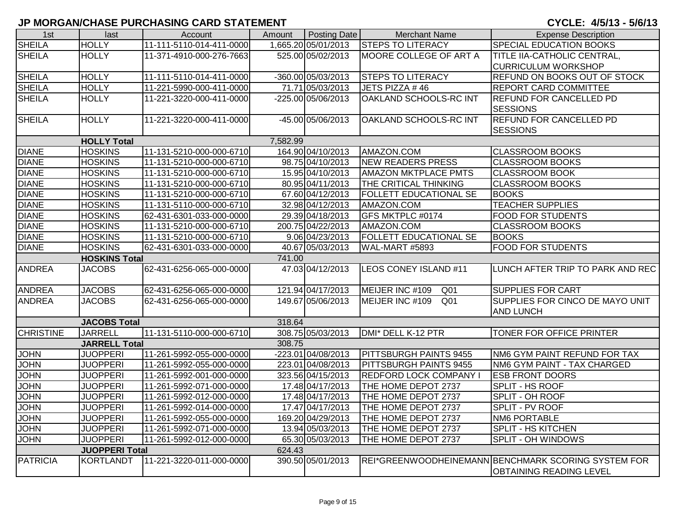| 1st              | last                  | Account                  | Amount   | Posting Date        | <b>Merchant Name</b>               | <b>Expense Description</b>                          |
|------------------|-----------------------|--------------------------|----------|---------------------|------------------------------------|-----------------------------------------------------|
| <b>SHEILA</b>    | <b>HOLLY</b>          | 11-111-5110-014-411-0000 |          | 1,665.20 05/01/2013 | <b>STEPS TO LITERACY</b>           | SPECIAL EDUCATION BOOKS                             |
| <b>SHEILA</b>    | <b>HOLLY</b>          | 11-371-4910-000-276-7663 |          | 525.00 05/02/2013   | MOORE COLLEGE OF ART A             | TITLE IIA-CATHOLIC CENTRAL,                         |
|                  |                       |                          |          |                     |                                    | <b>CURRICULUM WORKSHOP</b>                          |
| <b>SHEILA</b>    | <b>HOLLY</b>          | 11-111-5110-014-411-0000 |          | -360.00 05/03/2013  | <b>STEPS TO LITERACY</b>           | <b>REFUND ON BOOKS OUT OF STOCK</b>                 |
| <b>SHEILA</b>    | <b>HOLLY</b>          | 11-221-5990-000-411-0000 |          | 71.71 05/03/2013    | JETS PIZZA #46                     | <b>REPORT CARD COMMITTEE</b>                        |
| <b>SHEILA</b>    | <b>HOLLY</b>          | 11-221-3220-000-411-0000 |          | -225.00 05/06/2013  | OAKLAND SCHOOLS-RC INT             | <b>REFUND FOR CANCELLED PD</b>                      |
|                  |                       |                          |          |                     |                                    | <b>SESSIONS</b>                                     |
| <b>SHEILA</b>    | <b>HOLLY</b>          | 11-221-3220-000-411-0000 |          | -45.00 05/06/2013   | OAKLAND SCHOOLS-RC INT             | <b>REFUND FOR CANCELLED PD</b>                      |
|                  |                       |                          |          |                     |                                    | <b>SESSIONS</b>                                     |
|                  | <b>HOLLY Total</b>    |                          | 7,582.99 |                     |                                    |                                                     |
| <b>DIANE</b>     | <b>HOSKINS</b>        | 11-131-5210-000-000-6710 |          | 164.90 04/10/2013   | AMAZON.COM                         | <b>CLASSROOM BOOKS</b>                              |
| <b>DIANE</b>     | <b>HOSKINS</b>        | 11-131-5210-000-000-6710 |          | 98.75 04/10/2013    | <b>NEW READERS PRESS</b>           | <b>CLASSROOM BOOKS</b>                              |
| <b>DIANE</b>     | <b>HOSKINS</b>        | 11-131-5210-000-000-6710 |          | 15.95 04/10/2013    | <b>AMAZON MKTPLACE PMTS</b>        | <b>CLASSROOM BOOK</b>                               |
| <b>DIANE</b>     | <b>HOSKINS</b>        | 11-131-5210-000-000-6710 |          | 80.95 04/11/2013    | <b>THE CRITICAL THINKING</b>       | <b>CLASSROOM BOOKS</b>                              |
| <b>DIANE</b>     | <b>HOSKINS</b>        | 11-131-5210-000-000-6710 |          | 67.60 04/12/2013    | <b>FOLLETT EDUCATIONAL SE</b>      | <b>BOOKS</b>                                        |
| <b>DIANE</b>     | <b>HOSKINS</b>        | 11-131-5110-000-000-6710 |          | 32.98 04/12/2013    | AMAZON.COM                         | <b>TEACHER SUPPLIES</b>                             |
| <b>DIANE</b>     | <b>HOSKINS</b>        | 62-431-6301-033-000-0000 |          | 29.39 04/18/2013    | GFS MKTPLC #0174                   | <b>FOOD FOR STUDENTS</b>                            |
| <b>DIANE</b>     | <b>HOSKINS</b>        | 11-131-5210-000-000-6710 |          | 200.75 04/22/2013   | AMAZON.COM                         | <b>CLASSROOM BOOKS</b>                              |
| <b>DIANE</b>     | <b>HOSKINS</b>        | 11-131-5210-000-000-6710 |          | 9.06 04/23/2013     | <b>FOLLETT EDUCATIONAL SE</b>      | <b>BOOKS</b>                                        |
| <b>DIANE</b>     | <b>HOSKINS</b>        | 62-431-6301-033-000-0000 |          | 40.67 05/03/2013    | WAL-MART #5893                     | <b>FOOD FOR STUDENTS</b>                            |
|                  | <b>HOSKINS Total</b>  |                          | 741.00   |                     |                                    |                                                     |
| <b>ANDREA</b>    | <b>JACOBS</b>         | 62-431-6256-065-000-0000 |          | 47.03 04/12/2013    | LEOS CONEY ISLAND #11              | LUNCH AFTER TRIP TO PARK AND REC                    |
|                  |                       |                          |          |                     |                                    |                                                     |
| <b>ANDREA</b>    | <b>JACOBS</b>         | 62-431-6256-065-000-0000 |          | 121.94 04/17/2013   | MEIJER INC #109<br>Q <sub>01</sub> | <b>SUPPLIES FOR CART</b>                            |
| <b>ANDREA</b>    | <b>JACOBS</b>         | 62-431-6256-065-000-0000 |          | 149.67 05/06/2013   | MEIJER INC #109<br>Q <sub>01</sub> | SUPPLIES FOR CINCO DE MAYO UNIT                     |
|                  |                       |                          |          |                     |                                    | <b>AND LUNCH</b>                                    |
|                  | <b>JACOBS Total</b>   |                          | 318.64   |                     |                                    |                                                     |
| <b>CHRISTINE</b> | <b>JARRELL</b>        | 11-131-5110-000-000-6710 |          | 308.75 05/03/2013   | DMI* DELL K-12 PTR                 | TONER FOR OFFICE PRINTER                            |
|                  | <b>JARRELL Total</b>  |                          | 308.75   |                     |                                    |                                                     |
| <b>JOHN</b>      | <b>JUOPPERI</b>       | 11-261-5992-055-000-0000 |          | -223.01 04/08/2013  | <b>PITTSBURGH PAINTS 9455</b>      | NM6 GYM PAINT REFUND FOR TAX                        |
| <b>JOHN</b>      | <b>JUOPPERI</b>       | 11-261-5992-055-000-0000 |          | 223.01 04/08/2013   | <b>PITTSBURGH PAINTS 9455</b>      | NM6 GYM PAINT - TAX CHARGED                         |
| <b>JOHN</b>      | <b>JUOPPERI</b>       | 11-261-5992-001-000-0000 |          | 323.56 04/15/2013   | <b>REDFORD LOCK COMPANY</b>        | <b>ESB FRONT DOORS</b>                              |
| <b>JOHN</b>      | <b>JUOPPERI</b>       | 11-261-5992-071-000-0000 |          | 17.48 04/17/2013    | THE HOME DEPOT 2737                | SPLIT - HS ROOF                                     |
| <b>JOHN</b>      | <b>JUOPPERI</b>       | 11-261-5992-012-000-0000 |          | 17.48 04/17/2013    | THE HOME DEPOT 2737                | SPLIT - OH ROOF                                     |
| <b>JOHN</b>      | <b>JUOPPERI</b>       | 11-261-5992-014-000-0000 |          | 17.47 04/17/2013    | THE HOME DEPOT 2737                | SPLIT - PV ROOF                                     |
| <b>JOHN</b>      | <b>JUOPPERI</b>       | 11-261-5992-055-000-0000 |          | 169.20 04/29/2013   | THE HOME DEPOT 2737                | <b>NM6 PORTABLE</b>                                 |
| <b>JOHN</b>      | <b>JUOPPERI</b>       | 11-261-5992-071-000-0000 |          | 13.94 05/03/2013    | THE HOME DEPOT 2737                | <b>SPLIT - HS KITCHEN</b>                           |
| <b>JOHN</b>      | <b>JUOPPERI</b>       | 11-261-5992-012-000-0000 |          | 65.30 05/03/2013    | THE HOME DEPOT 2737                | <b>SPLIT - OH WINDOWS</b>                           |
|                  | <b>JUOPPERI Total</b> |                          | 624.43   |                     |                                    |                                                     |
| <b>PATRICIA</b>  | KORTLANDT             | 11-221-3220-011-000-0000 |          | 390.50 05/01/2013   |                                    | REI*GREENWOODHEINEMANN BENCHMARK SCORING SYSTEM FOR |
|                  |                       |                          |          |                     |                                    | <b>OBTAINING READING LEVEL</b>                      |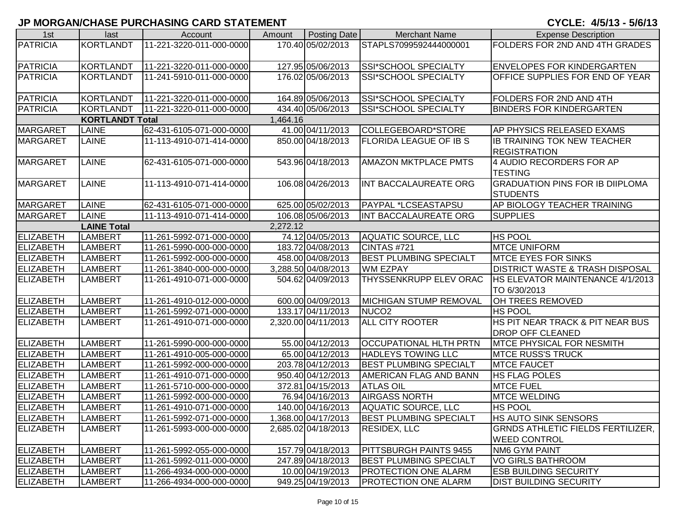| 1st              | last                           | Account                  | Amount   | Posting Date        | <b>Merchant Name</b>          | <b>Expense Description</b>                 |  |  |  |  |
|------------------|--------------------------------|--------------------------|----------|---------------------|-------------------------------|--------------------------------------------|--|--|--|--|
| <b>PATRICIA</b>  | <b>KORTLANDT</b>               | 11-221-3220-011-000-0000 |          | 170.40 05/02/2013   | STAPLS7099592444000001        | FOLDERS FOR 2ND AND 4TH GRADES             |  |  |  |  |
|                  |                                |                          |          |                     |                               |                                            |  |  |  |  |
| <b>PATRICIA</b>  | KORTLANDT                      | 11-221-3220-011-000-0000 |          | 127.95 05/06/2013   | SSI*SCHOOL SPECIALTY          | <b>ENVELOPES FOR KINDERGARTEN</b>          |  |  |  |  |
| PATRICIA         | KORTLANDT                      | 11-241-5910-011-000-0000 |          | 176.02 05/06/2013   | SSI*SCHOOL SPECIALTY          | <b>OFFICE SUPPLIES FOR END OF YEAR</b>     |  |  |  |  |
|                  |                                |                          |          |                     |                               |                                            |  |  |  |  |
| <b>PATRICIA</b>  | <b>KORTLANDT</b>               | 11-221-3220-011-000-0000 |          | 164.89 05/06/2013   | SSI*SCHOOL SPECIALTY          | FOLDERS FOR 2ND AND 4TH                    |  |  |  |  |
| PATRICIA         | <b>KORTLANDT</b>               | 11-221-3220-011-000-0000 |          | 434.40 05/06/2013   | SSI*SCHOOL SPECIALTY          | <b>BINDERS FOR KINDERGARTEN</b>            |  |  |  |  |
|                  | <b>KORTLANDT Total</b>         |                          | 1,464.16 |                     |                               |                                            |  |  |  |  |
| <b>MARGARET</b>  | <b>LAINE</b>                   | 62-431-6105-071-000-0000 |          | 41.00 04/11/2013    | COLLEGEBOARD*STORE            | AP PHYSICS RELEASED EXAMS                  |  |  |  |  |
| <b>MARGARET</b>  | <b>LAINE</b>                   | 11-113-4910-071-414-0000 |          | 850.00 04/18/2013   | <b>FLORIDA LEAGUE OF IB S</b> | IB TRAINING TOK NEW TEACHER                |  |  |  |  |
|                  |                                |                          |          |                     |                               | <b>REGISTRATION</b>                        |  |  |  |  |
| <b>MARGARET</b>  | <b>LAINE</b>                   | 62-431-6105-071-000-0000 |          | 543.96 04/18/2013   | <b>AMAZON MKTPLACE PMTS</b>   | 4 AUDIO RECORDERS FOR AP                   |  |  |  |  |
|                  |                                |                          |          |                     |                               | <b>TESTING</b>                             |  |  |  |  |
| <b>MARGARET</b>  | <b>LAINE</b>                   | 11-113-4910-071-414-0000 |          | 106.08 04/26/2013   | INT BACCALAUREATE ORG         | <b>GRADUATION PINS FOR IB DIIPLOMA</b>     |  |  |  |  |
|                  |                                |                          |          |                     |                               | <b>STUDENTS</b>                            |  |  |  |  |
| <b>MARGARET</b>  | <b>LAINE</b>                   | 62-431-6105-071-000-0000 |          | 625.00 05/02/2013   | <b>PAYPAL *LCSEASTAPSU</b>    | AP BIOLOGY TEACHER TRAINING                |  |  |  |  |
| <b>MARGARET</b>  | <b>LAINE</b>                   | 11-113-4910-071-414-0000 |          | 106.08 05/06/2013   | INT BACCALAUREATE ORG         | <b>SUPPLIES</b>                            |  |  |  |  |
|                  | 2,272.12<br><b>LAINE Total</b> |                          |          |                     |                               |                                            |  |  |  |  |
| <b>ELIZABETH</b> | <b>LAMBERT</b>                 | 11-261-5992-071-000-0000 |          | 74.12 04/05/2013    | AQUATIC SOURCE, LLC           | <b>HS POOL</b>                             |  |  |  |  |
| <b>ELIZABETH</b> | <b>LAMBERT</b>                 | 11-261-5990-000-000-0000 |          | 183.72 04/08/2013   | CINTAS #721                   | <b>MTCE UNIFORM</b>                        |  |  |  |  |
| ELIZABETH        | <b>LAMBERT</b>                 | 11-261-5992-000-000-0000 |          | 458.00 04/08/2013   | <b>BEST PLUMBING SPECIALT</b> | <b>MTCE EYES FOR SINKS</b>                 |  |  |  |  |
| ELIZABETH        | LAMBERT                        | 11-261-3840-000-000-0000 |          | 3,288.50 04/08/2013 | <b>WM EZPAY</b>               | <b>DISTRICT WASTE &amp; TRASH DISPOSAL</b> |  |  |  |  |
| ELIZABETH        | LAMBERT                        | 11-261-4910-071-000-0000 |          | 504.62 04/09/2013   | THYSSENKRUPP ELEV ORAC        | HS ELEVATOR MAINTENANCE 4/1/2013           |  |  |  |  |
|                  |                                |                          |          |                     |                               | TO 6/30/2013                               |  |  |  |  |
| ELIZABETH        | <b>LAMBERT</b>                 | 11-261-4910-012-000-0000 |          | 600.00 04/09/2013   | <b>MICHIGAN STUMP REMOVAL</b> | OH TREES REMOVED                           |  |  |  |  |
| ELIZABETH        | LAMBERT                        | 11-261-5992-071-000-0000 |          | 133.17 04/11/2013   | NUCO <sub>2</sub>             | HS POOL                                    |  |  |  |  |
| <b>ELIZABETH</b> | LAMBERT                        | 11-261-4910-071-000-0000 |          | 2,320.00 04/11/2013 | <b>ALL CITY ROOTER</b>        | HS PIT NEAR TRACK & PIT NEAR BUS           |  |  |  |  |
|                  |                                |                          |          |                     |                               | <b>DROP OFF CLEANED</b>                    |  |  |  |  |
| ELIZABETH        | <b>LAMBERT</b>                 | 11-261-5990-000-000-0000 |          | 55.00 04/12/2013    | <b>OCCUPATIONAL HLTH PRTN</b> | <b>MTCE PHYSICAL FOR NESMITH</b>           |  |  |  |  |
| ELIZABETH        | <b>LAMBERT</b>                 | 11-261-4910-005-000-0000 |          | 65.00 04/12/2013    | <b>HADLEYS TOWING LLC</b>     | <b>MTCE RUSS'S TRUCK</b>                   |  |  |  |  |
| <b>ELIZABETH</b> | <b>LAMBERT</b>                 | 11-261-5992-000-000-0000 |          | 203.78 04/12/2013   | <b>BEST PLUMBING SPECIALT</b> | <b>MTCE FAUCET</b>                         |  |  |  |  |
| ELIZABETH        | <b>LAMBERT</b>                 | 11-261-4910-071-000-0000 |          | 950.40 04/12/2013   | AMERICAN FLAG AND BANN        | <b>HS FLAG POLES</b>                       |  |  |  |  |
| <b>ELIZABETH</b> | <b>LAMBERT</b>                 | 11-261-5710-000-000-0000 |          | 372.81 04/15/2013   | <b>ATLAS OIL</b>              | <b>MTCE FUEL</b>                           |  |  |  |  |
| ELIZABETH        | LAMBERT                        | 11-261-5992-000-000-0000 |          | 76.94 04/16/2013    | <b>AIRGASS NORTH</b>          | <b>MTCE WELDING</b>                        |  |  |  |  |
| ELIZABETH        | <b>LAMBERT</b>                 | 11-261-4910-071-000-0000 |          | 140.00 04/16/2013   | <b>AQUATIC SOURCE, LLC</b>    | <b>HS POOL</b>                             |  |  |  |  |
| <b>ELIZABETH</b> | <b>LAMBERT</b>                 | 11-261-5992-071-000-0000 |          | 1,368.00 04/17/2013 | <b>BEST PLUMBING SPECIALT</b> | HS AUTO SINK SENSORS                       |  |  |  |  |
| <b>ELIZABETH</b> | LAMBERT                        | 11-261-5993-000-000-0000 |          | 2,685.02 04/18/2013 | <b>RESIDEX, LLC</b>           | <b>GRNDS ATHLETIC FIELDS FERTILIZER,</b>   |  |  |  |  |
|                  |                                |                          |          |                     |                               | <b>WEED CONTROL</b>                        |  |  |  |  |
| <b>ELIZABETH</b> | LAMBERT                        | 11-261-5992-055-000-0000 |          | 157.79 04/18/2013   | PITTSBURGH PAINTS 9455        | NM6 GYM PAINT                              |  |  |  |  |
| <b>ELIZABETH</b> | LAMBERT                        | 11-261-5992-011-000-0000 |          | 247.89 04/18/2013   | <b>BEST PLUMBING SPECIALT</b> | <b>VO GIRLS BATHROOM</b>                   |  |  |  |  |
| <b>ELIZABETH</b> | <b>LAMBERT</b>                 | 11-266-4934-000-000-0000 |          | 10.00 04/19/2013    | <b>PROTECTION ONE ALARM</b>   | <b>ESB BUILDING SECURITY</b>               |  |  |  |  |
| <b>ELIZABETH</b> | <b>LAMBERT</b>                 | 11-266-4934-000-000-0000 |          | 949.25 04/19/2013   | <b>PROTECTION ONE ALARM</b>   | <b>DIST BUILDING SECURITY</b>              |  |  |  |  |
|                  |                                |                          |          |                     |                               |                                            |  |  |  |  |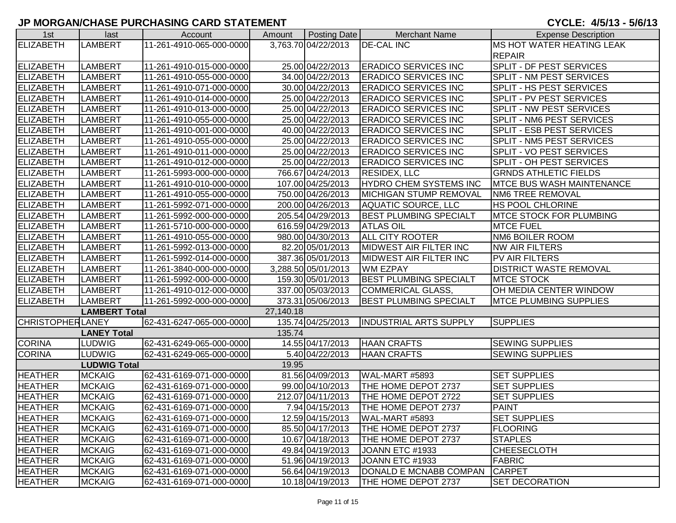| 1st                     | last                 | Account                  | Amount    | Posting Date        | <b>Merchant Name</b>          | <b>Expense Description</b>       |
|-------------------------|----------------------|--------------------------|-----------|---------------------|-------------------------------|----------------------------------|
| ELIZABETH               | <b>LAMBERT</b>       | 11-261-4910-065-000-0000 |           | 3,763.70 04/22/2013 | <b>DE-CAL INC</b>             | <b>MS HOT WATER HEATING LEAK</b> |
|                         |                      |                          |           |                     |                               | <b>REPAIR</b>                    |
| <b>ELIZABETH</b>        | <b>LAMBERT</b>       | 11-261-4910-015-000-0000 |           | 25.00 04/22/2013    | <b>ERADICO SERVICES INC</b>   | SPLIT - DF PEST SERVICES         |
| <b>ELIZABETH</b>        | LAMBERT              | 11-261-4910-055-000-0000 |           | 34.00 04/22/2013    | <b>ERADICO SERVICES INC</b>   | SPLIT - NM PEST SERVICES         |
| <b>ELIZABETH</b>        | <b>LAMBERT</b>       | 11-261-4910-071-000-0000 |           | 30.00 04/22/2013    | <b>ERADICO SERVICES INC</b>   | SPLIT - HS PEST SERVICES         |
| ELIZABETH               | <b>LAMBERT</b>       | 11-261-4910-014-000-0000 |           | 25.00 04/22/2013    | <b>ERADICO SERVICES INC</b>   | SPLIT - PV PEST SERVICES         |
| <b>ELIZABETH</b>        | <b>LAMBERT</b>       | 11-261-4910-013-000-0000 |           | 25.00 04/22/2013    | <b>ERADICO SERVICES INC</b>   | SPLIT - NW PEST SERVICES         |
| ELIZABETH               | <b>LAMBERT</b>       | 11-261-4910-055-000-0000 |           | 25.00 04/22/2013    | <b>ERADICO SERVICES INC</b>   | SPLIT - NM6 PEST SERVICES        |
| ELIZABETH               | <b>LAMBERT</b>       | 11-261-4910-001-000-0000 |           | 40.00 04/22/2013    | <b>ERADICO SERVICES INC</b>   | SPLIT - ESB PEST SERVICES        |
| <b>ELIZABETH</b>        | <b>LAMBERT</b>       | 11-261-4910-055-000-0000 |           | 25.00 04/22/2013    | <b>ERADICO SERVICES INC</b>   | SPLIT - NM5 PEST SERVICES        |
| <b>ELIZABETH</b>        | <b>LAMBERT</b>       | 11-261-4910-011-000-0000 |           | 25.00 04/22/2013    | <b>ERADICO SERVICES INC</b>   | SPLIT - VO PEST SERVICES         |
| <b>ELIZABETH</b>        | <b>LAMBERT</b>       | 11-261-4910-012-000-0000 |           | 25.00 04/22/2013    | <b>ERADICO SERVICES INC</b>   | SPLIT - OH PEST SERVICES         |
| <b>ELIZABETH</b>        | <b>LAMBERT</b>       | 11-261-5993-000-000-0000 |           | 766.67 04/24/2013   | <b>RESIDEX, LLC</b>           | <b>GRNDS ATHLETIC FIELDS</b>     |
| <b>ELIZABETH</b>        | <b>LAMBERT</b>       | 11-261-4910-010-000-0000 |           | 107.00 04/25/2013   | <b>HYDRO CHEM SYSTEMS INC</b> | <b>MTCE BUS WASH MAINTENANCE</b> |
| <b>ELIZABETH</b>        | <b>LAMBERT</b>       | 11-261-4910-055-000-0000 |           | 750.00 04/26/2013   | MICHIGAN STUMP REMOVAL        | <b>NM6 TREE REMOVAL</b>          |
| <b>ELIZABETH</b>        | <b>LAMBERT</b>       | 11-261-5992-071-000-0000 |           | 200.00 04/26/2013   | <b>AQUATIC SOURCE, LLC</b>    | HS POOL CHLORINE                 |
| <b>ELIZABETH</b>        | <b>LAMBERT</b>       | 11-261-5992-000-000-0000 |           | 205.54 04/29/2013   | <b>BEST PLUMBING SPECIALT</b> | MTCE STOCK FOR PLUMBING          |
| ELIZABETH               | <b>LAMBERT</b>       | 11-261-5710-000-000-0000 |           | 616.59 04/29/2013   | <b>ATLAS OIL</b>              | <b>MTCE FUEL</b>                 |
| ELIZABETH               | <b>LAMBERT</b>       | 11-261-4910-055-000-0000 |           | 980.00 04/30/2013   | <b>ALL CITY ROOTER</b>        | <b>NM6 BOILER ROOM</b>           |
| ELIZABETH               | <b>LAMBERT</b>       | 11-261-5992-013-000-0000 |           | 82.20 05/01/2013    | <b>MIDWEST AIR FILTER INC</b> | <b>NW AIR FILTERS</b>            |
| ELIZABETH               | <b>LAMBERT</b>       | 11-261-5992-014-000-0000 |           | 387.36 05/01/2013   | <b>MIDWEST AIR FILTER INC</b> | PV AIR FILTERS                   |
| <b>ELIZABETH</b>        | <b>LAMBERT</b>       | 11-261-3840-000-000-0000 |           | 3,288.50 05/01/2013 | <b>WM EZPAY</b>               | <b>DISTRICT WASTE REMOVAL</b>    |
| <b>ELIZABETH</b>        | <b>LAMBERT</b>       | 11-261-5992-000-000-0000 |           | 159.30 05/01/2013   | <b>BEST PLUMBING SPECIALT</b> | <b>MTCE STOCK</b>                |
| <b>ELIZABETH</b>        | <b>LAMBERT</b>       | 11-261-4910-012-000-0000 |           | 337.00 05/03/2013   | <b>COMMERICAL GLASS</b>       | OH MEDIA CENTER WINDOW           |
| <b>ELIZABETH</b>        | <b>LAMBERT</b>       | 11-261-5992-000-000-0000 |           | 373.31 05/06/2013   | <b>BEST PLUMBING SPECIALT</b> | <b>MTCE PLUMBING SUPPLIES</b>    |
|                         | <b>LAMBERT Total</b> |                          | 27,140.18 |                     |                               |                                  |
| <b>CHRISTOPHERLANEY</b> |                      | 62-431-6247-065-000-0000 |           | 135.74 04/25/2013   | <b>INDUSTRIAL ARTS SUPPLY</b> | <b>SUPPLIES</b>                  |
|                         | <b>LANEY Total</b>   |                          | 135.74    |                     |                               |                                  |
| <b>CORINA</b>           | <b>LUDWIG</b>        | 62-431-6249-065-000-0000 |           | 14.55 04/17/2013    | <b>HAAN CRAFTS</b>            | <b>SEWING SUPPLIES</b>           |
| <b>CORINA</b>           | <b>LUDWIG</b>        | 62-431-6249-065-000-0000 |           | 5.40 04/22/2013     | <b>HAAN CRAFTS</b>            | <b>SEWING SUPPLIES</b>           |
|                         | <b>LUDWIG Total</b>  |                          | 19.95     |                     |                               |                                  |
| <b>HEATHER</b>          | <b>MCKAIG</b>        | 62-431-6169-071-000-0000 |           | 81.56 04/09/2013    | WAL-MART #5893                | <b>SET SUPPLIES</b>              |
| <b>HEATHER</b>          | <b>MCKAIG</b>        | 62-431-6169-071-000-0000 |           | 99.00 04/10/2013    | THE HOME DEPOT 2737           | <b>SET SUPPLIES</b>              |
| <b>HEATHER</b>          | <b>MCKAIG</b>        | 62-431-6169-071-000-0000 |           | 212.07 04/11/2013   | THE HOME DEPOT 2722           | <b>SET SUPPLIES</b>              |
| <b>HEATHER</b>          | <b>MCKAIG</b>        | 62-431-6169-071-000-0000 |           | 7.94 04/15/2013     | THE HOME DEPOT 2737           | <b>PAINT</b>                     |
| <b>HEATHER</b>          | <b>MCKAIG</b>        | 62-431-6169-071-000-0000 |           | 12.59 04/15/2013    | WAL-MART #5893                | <b>SET SUPPLIES</b>              |
| <b>HEATHER</b>          | <b>MCKAIG</b>        | 62-431-6169-071-000-0000 |           | 85.50 04/17/2013    | THE HOME DEPOT 2737           | <b>FLOORING</b>                  |
| <b>HEATHER</b>          | <b>MCKAIG</b>        | 62-431-6169-071-000-0000 |           | 10.67 04/18/2013    | THE HOME DEPOT 2737           | <b>STAPLES</b>                   |
| <b>HEATHER</b>          | <b>MCKAIG</b>        | 62-431-6169-071-000-0000 |           | 49.84 04/19/2013    | JOANN ETC #1933               | <b>CHEESECLOTH</b>               |
| <b>HEATHER</b>          | <b>MCKAIG</b>        | 62-431-6169-071-000-0000 |           | 51.96 04/19/2013    | JOANN ETC #1933               | <b>FABRIC</b>                    |
| <b>HEATHER</b>          | <b>MCKAIG</b>        | 62-431-6169-071-000-0000 |           | 56.64 04/19/2013    | DONALD E MCNABB COMPAN        | <b>CARPET</b>                    |
| <b>HEATHER</b>          | <b>MCKAIG</b>        | 62-431-6169-071-000-0000 |           | 10.18 04/19/2013    | <b>THE HOME DEPOT 2737</b>    | <b>SET DECORATION</b>            |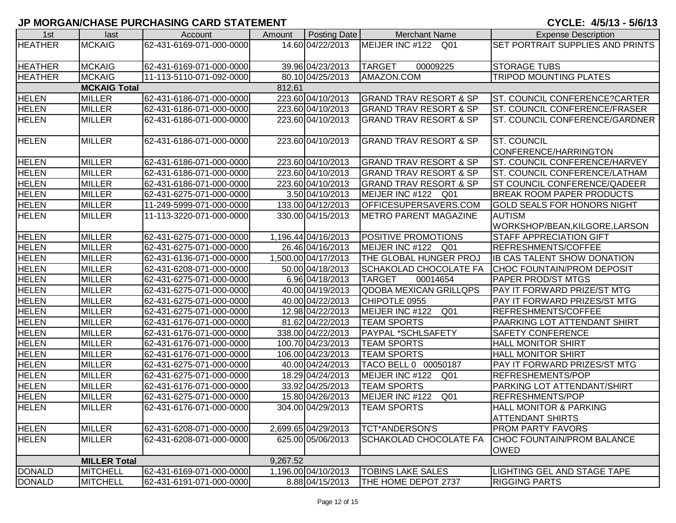| 1st            | last                | Account                  | Amount   | Posting Date        | <b>Merchant Name</b>               | <b>Expense Description</b>              |
|----------------|---------------------|--------------------------|----------|---------------------|------------------------------------|-----------------------------------------|
| <b>HEATHER</b> | <b>MCKAIG</b>       | 62-431-6169-071-000-0000 |          | 14.60 04/22/2013    | MEIJER INC #122<br>Q01             | <b>SET PORTRAIT SUPPLIES AND PRINTS</b> |
|                |                     |                          |          |                     |                                    |                                         |
| <b>HEATHER</b> | <b>MCKAIG</b>       | 62-431-6169-071-000-0000 |          | 39.96 04/23/2013    | <b>TARGET</b><br>00009225          | <b>STORAGE TUBS</b>                     |
| <b>HEATHER</b> | <b>MCKAIG</b>       | 11-113-5110-071-092-0000 |          | 80.10 04/25/2013    | AMAZON.COM                         | <b>TRIPOD MOUNTING PLATES</b>           |
|                | <b>MCKAIG Total</b> |                          | 812.61   |                     |                                    |                                         |
| <b>HELEN</b>   | <b>MILLER</b>       | 62-431-6186-071-000-0000 |          | 223.60 04/10/2013   | <b>GRAND TRAV RESORT &amp; SP</b>  | ST. COUNCIL CONFERENCE?CARTER           |
| <b>HELEN</b>   | <b>MILLER</b>       | 62-431-6186-071-000-0000 |          | 223.60 04/10/2013   | <b>GRAND TRAV RESORT &amp; SP</b>  | ST. COUNCIL CONFERENCE/FRASER           |
| <b>HELEN</b>   | <b>MILLER</b>       | 62-431-6186-071-000-0000 |          | 223.60 04/10/2013   | <b>GRAND TRAV RESORT &amp; SP</b>  | ST. COUNCIL CONFERENCE/GARDNER          |
|                |                     |                          |          |                     |                                    |                                         |
| <b>HELEN</b>   | <b>MILLER</b>       | 62-431-6186-071-000-0000 |          | 223.60 04/10/2013   | <b>GRAND TRAV RESORT &amp; SP</b>  | <b>ST. COUNCIL</b>                      |
|                |                     |                          |          |                     |                                    | CONFERENCE/HARRINGTON                   |
| <b>HELEN</b>   | <b>MILLER</b>       | 62-431-6186-071-000-0000 |          | 223.60 04/10/2013   | <b>GRAND TRAV RESORT &amp; SP</b>  | <b>ST. COUNCIL CONFERENCE/HARVEY</b>    |
| <b>HELEN</b>   | <b>MILLER</b>       | 62-431-6186-071-000-0000 |          | 223.60 04/10/2013   | <b>GRAND TRAV RESORT &amp; SP</b>  | ST. COUNCIL CONFERENCE/LATHAM           |
| <b>HELEN</b>   | <b>MILLER</b>       | 62-431-6186-071-000-0000 |          | 223.60 04/10/2013   | GRAND TRAV RESORT & SP             | <b>ST COUNCIL CONFERENCE/QADEER</b>     |
| <b>HELEN</b>   | <b>MILLER</b>       | 62-431-6275-071-000-0000 |          | 3.50 04/10/2013     | MEIJER INC #122 Q01                | <b>BREAK ROOM PAPER PRODUCTS</b>        |
| <b>HELEN</b>   | <b>MILLER</b>       | 11-249-5999-071-000-0000 |          | 133.00 04/12/2013   | OFFICESUPERSAVERS.COM              | <b>GOLD SEALS FOR HONORS NIGHT</b>      |
| <b>HELEN</b>   | <b>MILLER</b>       | 11-113-3220-071-000-0000 |          | 330.00 04/15/2013   | <b>METRO PARENT MAGAZINE</b>       | <b>AUTISM</b>                           |
|                |                     |                          |          |                     |                                    | WORKSHOP/BEAN, KILGORE, LARSON          |
| <b>HELEN</b>   | <b>MILLER</b>       | 62-431-6275-071-000-0000 |          | 1,196.44 04/16/2013 | <b>POSITIVE PROMOTIONS</b>         | <b>STAFF APPRECIATION GIFT</b>          |
| <b>HELEN</b>   | <b>MILLER</b>       | 62-431-6275-071-000-0000 |          | 26.46 04/16/2013    | MEIJER INC #122 Q01                | REFRESHMENTS/COFFEE                     |
| <b>HELEN</b>   | <b>MILLER</b>       | 62-431-6136-071-000-0000 |          | 1,500.00 04/17/2013 | THE GLOBAL HUNGER PROJ             | <b>IB CAS TALENT SHOW DONATION</b>      |
| <b>HELEN</b>   | <b>MILLER</b>       | 62-431-6208-071-000-0000 |          | 50.00 04/18/2013    | SCHAKOLAD CHOCOLATE FA             | <b>CHOC FOUNTAIN/PROM DEPOSIT</b>       |
| <b>HELEN</b>   | <b>MILLER</b>       | 62-431-6275-071-000-0000 |          | 6.96 04/18/2013     | <b>TARGET</b><br>00014654          | <b>PAPER PROD/ST MTGS</b>               |
| <b>HELEN</b>   | <b>MILLER</b>       | 62-431-6275-071-000-0000 |          | 40.00 04/19/2013    | <b>QDOBA MEXICAN GRILLQPS</b>      | PAY IT FORWARD PRIZE/ST MTG             |
| <b>HELEN</b>   | <b>MILLER</b>       | 62-431-6275-071-000-0000 |          | 40.00 04/22/2013    | CHIPOTLE 0955                      | PAY IT FORWARD PRIZES/ST MTG            |
| <b>HELEN</b>   | <b>MILLER</b>       | 62-431-6275-071-000-0000 |          | 12.98 04/22/2013    | MEIJER INC #122<br>Q <sub>01</sub> | <b>REFRESHMENTS/COFFEE</b>              |
| <b>HELEN</b>   | <b>MILLER</b>       | 62-431-6176-071-000-0000 |          | 81.62 04/22/2013    | <b>TEAM SPORTS</b>                 | PAARKING LOT ATTENDANT SHIRT            |
| <b>HELEN</b>   | <b>MILLER</b>       | 62-431-6176-071-000-0000 |          | 338.00 04/22/2013   | <b>PAYPAL *SCHLSAFETY</b>          | <b>SAFETY CONFERENCE</b>                |
| <b>HELEN</b>   | <b>MILLER</b>       | 62-431-6176-071-000-0000 |          | 100.70 04/23/2013   | <b>TEAM SPORTS</b>                 | <b>HALL MONITOR SHIRT</b>               |
| <b>HELEN</b>   | <b>MILLER</b>       | 62-431-6176-071-000-0000 |          | 106.00 04/23/2013   | <b>TEAM SPORTS</b>                 | <b>HALL MONITOR SHIRT</b>               |
| <b>HELEN</b>   | <b>MILLER</b>       | 62-431-6275-071-000-0000 |          | 40.00 04/24/2013    | TACO BELL 0 00050187               | PAY IT FORWARD PRIZES/ST MTG            |
| <b>HELEN</b>   | <b>MILLER</b>       | 62-431-6275-071-000-0000 |          | 18.29 04/24/2013    | MEIJER INC #122<br>Q <sub>01</sub> | <b>REFRESHEMENTS/POP</b>                |
| <b>HELEN</b>   | <b>MILLER</b>       | 62-431-6176-071-000-0000 |          | 33.92 04/25/2013    | <b>TEAM SPORTS</b>                 | PARKING LOT ATTENDANT/SHIRT             |
| <b>HELEN</b>   | <b>MILLER</b>       | 62-431-6275-071-000-0000 |          | 15.80 04/26/2013    | MEIJER INC #122<br>Q <sub>01</sub> | <b>REFRESHMENTS/POP</b>                 |
| <b>HELEN</b>   | <b>MILLER</b>       | 62-431-6176-071-000-0000 |          | 304.00 04/29/2013   | <b>ITEAM SPORTS</b>                | <b>HALL MONITOR &amp; PARKING</b>       |
|                |                     |                          |          |                     |                                    | <b>ATTENDANT SHIRTS</b>                 |
| <b>HELEN</b>   | <b>MILLER</b>       | 62-431-6208-071-000-0000 |          | 2,699.65 04/29/2013 | <b>TCT*ANDERSON'S</b>              | <b>PROM PARTY FAVORS</b>                |
| <b>HELEN</b>   | <b>MILLER</b>       | 62-431-6208-071-000-0000 |          | 625.00 05/06/2013   | <b>SCHAKOLAD CHOCOLATE FA</b>      | CHOC FOUNTAIN/PROM BALANCE              |
|                |                     |                          |          |                     |                                    | <b>OWED</b>                             |
|                | <b>MILLER Total</b> |                          | 9,267.52 |                     |                                    |                                         |
| <b>DONALD</b>  | <b>MITCHELL</b>     | 62-431-6169-071-000-0000 |          | 1,196.00 04/10/2013 | <b>TOBINS LAKE SALES</b>           | <b>LIGHTING GEL AND STAGE TAPE</b>      |
| <b>DONALD</b>  | MITCHELL            | 62-431-6191-071-000-0000 |          | 8.88 04/15/2013     | THE HOME DEPOT 2737                | <b>RIGGING PARTS</b>                    |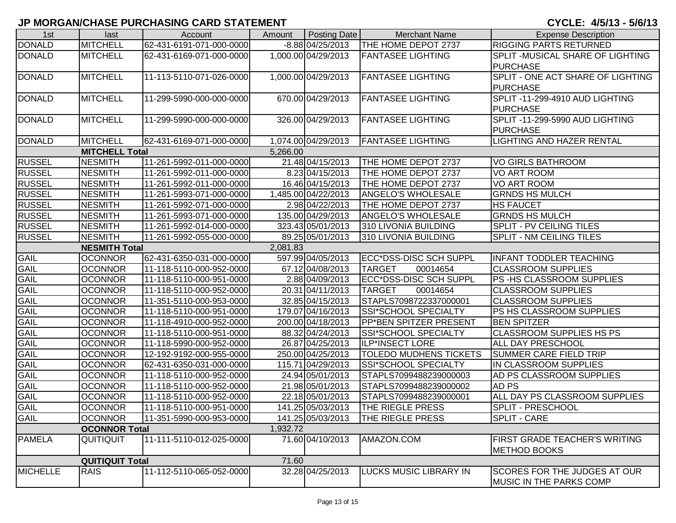| 1st             | last                   | Account                  | Amount   | Posting Date        | <b>Merchant Name</b>          | <b>Expense Description</b>          |
|-----------------|------------------------|--------------------------|----------|---------------------|-------------------------------|-------------------------------------|
| <b>DONALD</b>   | <b>MITCHELL</b>        | 62-431-6191-071-000-0000 |          | $-8.88$ 04/25/2013  | THE HOME DEPOT 2737           | <b>RIGGING PARTS RETURNED</b>       |
| <b>DONALD</b>   | <b>MITCHELL</b>        | 62-431-6169-071-000-0000 |          | 1,000.00 04/29/2013 | <b>FANTASEE LIGHTING</b>      | SPLIT - MUSICAL SHARE OF LIGHTING   |
|                 |                        |                          |          |                     |                               | <b>PURCHASE</b>                     |
| <b>DONALD</b>   | <b>MITCHELL</b>        | 11-113-5110-071-026-0000 |          | 1,000.00 04/29/2013 | <b>FANTASEE LIGHTING</b>      | SPLIT - ONE ACT SHARE OF LIGHTING   |
|                 |                        |                          |          |                     |                               | <b>PURCHASE</b>                     |
| <b>DONALD</b>   | <b>MITCHELL</b>        | 11-299-5990-000-000-0000 |          | 670.00 04/29/2013   | <b>FANTASEE LIGHTING</b>      | SPLIT -11-299-4910 AUD LIGHTING     |
|                 |                        |                          |          |                     |                               | <b>PURCHASE</b>                     |
| <b>DONALD</b>   | <b>MITCHELL</b>        | 11-299-5990-000-000-0000 |          | 326.00 04/29/2013   | <b>FANTASEE LIGHTING</b>      | SPLIT -11-299-5990 AUD LIGHTING     |
|                 |                        |                          |          |                     |                               | <b>PURCHASE</b>                     |
| <b>DONALD</b>   | <b>MITCHELL</b>        | 62-431-6169-071-000-0000 |          | 1,074.00 04/29/2013 | <b>FANTASEE LIGHTING</b>      | <b>LIGHTING AND HAZER RENTAL</b>    |
|                 | <b>MITCHELL Total</b>  |                          | 5,266.00 |                     |                               |                                     |
| <b>RUSSEL</b>   | <b>NESMITH</b>         | 11-261-5992-011-000-0000 |          | 21.48 04/15/2013    | <b>THE HOME DEPOT 2737</b>    | <b>VO GIRLS BATHROOM</b>            |
| <b>RUSSEL</b>   | <b>NESMITH</b>         | 11-261-5992-011-000-0000 |          | 8.23 04/15/2013     | THE HOME DEPOT 2737           | <b>VO ART ROOM</b>                  |
| <b>RUSSEL</b>   | <b>NESMITH</b>         | 11-261-5992-011-000-0000 |          | 16.46 04/15/2013    | THE HOME DEPOT 2737           | VO ART ROOM                         |
| <b>RUSSEL</b>   | <b>NESMITH</b>         | 11-261-5993-071-000-0000 |          | 1,485.00 04/22/2013 | <b>ANGELO'S WHOLESALE</b>     | <b>GRNDS HS MULCH</b>               |
| <b>RUSSEL</b>   | <b>NESMITH</b>         | 11-261-5992-071-000-0000 |          | 2.98 04/22/2013     | THE HOME DEPOT 2737           | <b>HS FAUCET</b>                    |
| <b>RUSSEL</b>   | <b>NESMITH</b>         | 11-261-5993-071-000-0000 |          | 135.00 04/29/2013   | <b>ANGELO'S WHOLESALE</b>     | <b>GRNDS HS MULCH</b>               |
| <b>RUSSEL</b>   | <b>NESMITH</b>         | 11-261-5992-014-000-0000 |          | 323.43 05/01/2013   | 310 LIVONIA BUILDING          | <b>SPLIT - PV CEILING TILES</b>     |
| <b>RUSSEL</b>   | <b>NESMITH</b>         | 11-261-5992-055-000-0000 |          | 89.25 05/01/2013    | 310 LIVONIA BUILDING          | <b>SPLIT - NM CEILING TILES</b>     |
|                 | <b>NESMITH Total</b>   |                          | 2,081.83 |                     |                               |                                     |
| GAIL            | <b>OCONNOR</b>         | 62-431-6350-031-000-0000 |          | 597.99 04/05/2013   | ECC*DSS-DISC SCH SUPPL        | <b>INFANT TODDLER TEACHING</b>      |
| <b>GAIL</b>     | <b>OCONNOR</b>         | 11-118-5110-000-952-0000 |          | 67.12 04/08/2013    | <b>TARGET</b><br>00014654     | <b>CLASSROOM SUPPLIES</b>           |
| <b>GAIL</b>     | <b>OCONNOR</b>         | 11-118-5110-000-951-0000 |          | 2.88 04/09/2013     | ECC*DSS-DISC SCH SUPPL        | PS-HS CLASSROOM SUPPLIES            |
| GAIL            | <b>OCONNOR</b>         | 11-118-5110-000-952-0000 |          | 20.31 04/11/2013    | <b>TARGET</b><br>00014654     | <b>CLASSROOM SUPPLIES</b>           |
| <b>GAIL</b>     | <b>OCONNOR</b>         | 11-351-5110-000-953-0000 |          | 32.85 04/15/2013    | STAPLS7098722337000001        | <b>CLASSROOM SUPPLIES</b>           |
| GAIL            | <b>OCONNOR</b>         | 11-118-5110-000-951-0000 |          | 179.07 04/16/2013   | <b>SSI*SCHOOL SPECIALTY</b>   | PS HS CLASSROOM SUPPLIES            |
| <b>GAIL</b>     | <b>OCONNOR</b>         | 11-118-4910-000-952-0000 |          | 200.00 04/18/2013   | PP*BEN SPITZER PRESENT        | <b>BEN SPITZER</b>                  |
| <b>GAIL</b>     | <b>OCONNOR</b>         | 11-118-5110-000-951-0000 |          | 88.32 04/24/2013    | SSI*SCHOOL SPECIALTY          | <b>CLASSROOM SUPPLIES HS PS</b>     |
| <b>GAIL</b>     | <b>OCONNOR</b>         | 11-118-5990-000-952-0000 |          | 26.87 04/25/2013    | ILP*INSECT LORE               | <b>ALL DAY PRESCHOOL</b>            |
| <b>GAIL</b>     | <b>OCONNOR</b>         | 12-192-9192-000-955-0000 |          | 250.00 04/25/2013   | <b>TOLEDO MUDHENS TICKETS</b> | <b>SUMMER CARE FIELD TRIP</b>       |
| <b>GAIL</b>     | <b>OCONNOR</b>         | 62-431-6350-031-000-0000 |          | 115.71 04/29/2013   | SSI*SCHOOL SPECIALTY          | IN CLASSROOM SUPPLIES               |
| GAIL            | <b>OCONNOR</b>         | 11-118-5110-000-952-0000 |          | 24.94 05/01/2013    | STAPLS7099488239000003        | AD PS CLASSROOM SUPPLIES            |
| <b>GAIL</b>     | <b>OCONNOR</b>         | 11-118-5110-000-952-0000 |          | 21.98 05/01/2013    | STAPLS7099488239000002        | AD PS                               |
| <b>GAIL</b>     | <b>OCONNOR</b>         | 11-118-5110-000-952-0000 |          | 22.18 05/01/2013    | STAPLS7099488239000001        | ALL DAY PS CLASSROOM SUPPLIES       |
| <b>GAIL</b>     | <b>OCONNOR</b>         | 11-118-5110-000-951-0000 |          | 141.25 05/03/2013   | <b>THE RIEGLE PRESS</b>       | <b>SPLIT - PRESCHOOL</b>            |
| <b>GAIL</b>     | <b>OCONNOR</b>         | 11-351-5990-000-953-0000 |          | 141.25 05/03/2013   | THE RIEGLE PRESS              | <b>SPLIT - CARE</b>                 |
|                 | <b>OCONNOR Total</b>   |                          | 1,932.72 |                     |                               |                                     |
| <b>PAMELA</b>   | QUITIQUIT              | 11-111-5110-012-025-0000 |          | 71.60 04/10/2013    | AMAZON.COM                    | FIRST GRADE TEACHER'S WRITING       |
|                 |                        |                          |          |                     |                               | <b>METHOD BOOKS</b>                 |
|                 | <b>QUITIQUIT Total</b> |                          | 71.60    |                     |                               |                                     |
| <b>MICHELLE</b> | <b>RAIS</b>            | 11-112-5110-065-052-0000 |          | 32.28 04/25/2013    | LUCKS MUSIC LIBRARY IN        | <b>SCORES FOR THE JUDGES AT OUR</b> |
|                 |                        |                          |          |                     |                               | <b>IMUSIC IN THE PARKS COMP</b>     |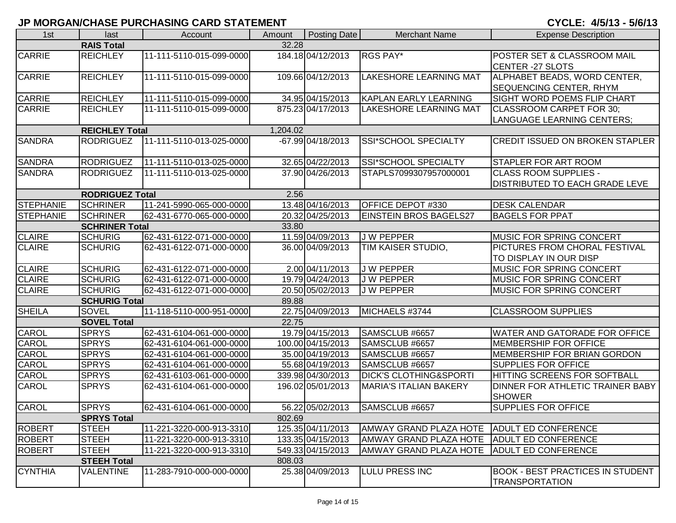| 1st              | last                                   | Account                  | Amount   | <b>Posting Date</b> | <b>Merchant Name</b>                             | <b>Expense Description</b>              |  |  |  |
|------------------|----------------------------------------|--------------------------|----------|---------------------|--------------------------------------------------|-----------------------------------------|--|--|--|
|                  | <b>RAIS Total</b>                      |                          | 32.28    |                     |                                                  |                                         |  |  |  |
| CARRIE           | <b>REICHLEY</b>                        | 11-111-5110-015-099-0000 |          | 184.18 04/12/2013   | <b>RGS PAY*</b>                                  | POSTER SET & CLASSROOM MAIL             |  |  |  |
|                  |                                        |                          |          |                     |                                                  | CENTER -27 SLOTS                        |  |  |  |
| <b>CARRIE</b>    | <b>REICHLEY</b>                        | 11-111-5110-015-099-0000 |          | 109.66 04/12/2013   | <b>LAKESHORE LEARNING MAT</b>                    | ALPHABET BEADS, WORD CENTER,            |  |  |  |
|                  |                                        |                          |          |                     |                                                  | SEQUENCING CENTER, RHYM                 |  |  |  |
| <b>CARRIE</b>    | <b>REICHLEY</b>                        | 11-111-5110-015-099-0000 |          | 34.95 04/15/2013    | <b>KAPLAN EARLY LEARNING</b>                     | <b>SIGHT WORD POEMS FLIP CHART</b>      |  |  |  |
| CARRIE           | <b>REICHLEY</b>                        | 11-111-5110-015-099-0000 |          | 875.23 04/17/2013   | <b>LAKESHORE LEARNING MAT</b>                    | CLASSROOM CARPET FOR 30;                |  |  |  |
|                  |                                        |                          |          |                     |                                                  | <b>LANGUAGE LEARNING CENTERS;</b>       |  |  |  |
|                  | <b>REICHLEY Total</b>                  |                          | 1,204.02 |                     |                                                  |                                         |  |  |  |
| <b>SANDRA</b>    | <b>RODRIGUEZ</b>                       | 11-111-5110-013-025-0000 |          | -67.99 04/18/2013   | SSI*SCHOOL SPECIALTY                             | <b>CREDIT ISSUED ON BROKEN STAPLER</b>  |  |  |  |
| <b>SANDRA</b>    | <b>RODRIGUEZ</b>                       | 11-111-5110-013-025-0000 |          | 32.65 04/22/2013    | <b>SSI*SCHOOL SPECIALTY</b>                      | <b>STAPLER FOR ART ROOM</b>             |  |  |  |
| <b>SANDRA</b>    | <b>RODRIGUEZ</b>                       | 11-111-5110-013-025-0000 |          | 37.90 04/26/2013    | STAPLS7099307957000001                           | <b>CLASS ROOM SUPPLIES -</b>            |  |  |  |
|                  |                                        |                          |          |                     |                                                  | <b>DISTRIBUTED TO EACH GRADE LEVE</b>   |  |  |  |
|                  | <b>RODRIGUEZ Total</b>                 |                          | 2.56     |                     |                                                  |                                         |  |  |  |
| STEPHANIE        | <b>SCHRINER</b>                        | 11-241-5990-065-000-0000 |          | 13.48 04/16/2013    | <b>OFFICE DEPOT #330</b>                         | <b>DESK CALENDAR</b>                    |  |  |  |
| <b>STEPHANIE</b> | <b>SCHRINER</b>                        | 62-431-6770-065-000-0000 |          | 20.32 04/25/2013    | <b>EINSTEIN BROS BAGELS27</b>                    | <b>BAGELS FOR PPAT</b>                  |  |  |  |
|                  | <b>SCHRINER Total</b><br>33.80         |                          |          |                     |                                                  |                                         |  |  |  |
| <b>CLAIRE</b>    | <b>SCHURIG</b>                         | 62-431-6122-071-000-0000 |          | 11.59 04/09/2013    | J W PEPPER                                       | <b>IMUSIC FOR SPRING CONCERT</b>        |  |  |  |
| <b>CLAIRE</b>    | <b>SCHURIG</b>                         | 62-431-6122-071-000-0000 |          | 36.00 04/09/2013    | TIM KAISER STUDIO,                               | <b>PICTURES FROM CHORAL FESTIVAL</b>    |  |  |  |
|                  |                                        |                          |          |                     |                                                  | TO DISPLAY IN OUR DISP                  |  |  |  |
| <b>CLAIRE</b>    | <b>SCHURIG</b>                         | 62-431-6122-071-000-0000 |          | 2.00 04/11/2013     | <b>JW PEPPER</b>                                 | <b>MUSIC FOR SPRING CONCERT</b>         |  |  |  |
| <b>CLAIRE</b>    | <b>SCHURIG</b>                         | 62-431-6122-071-000-0000 |          | 19.79 04/24/2013    | <b>JW PEPPER</b>                                 | <b>IMUSIC FOR SPRING CONCERT</b>        |  |  |  |
| <b>CLAIRE</b>    | <b>SCHURIG</b>                         | 62-431-6122-071-000-0000 |          | 20.50 05/02/2013    | <b>JW PEPPER</b>                                 | <b>MUSIC FOR SPRING CONCERT</b>         |  |  |  |
|                  | <b>SCHURIG Total</b>                   |                          | 89.88    |                     |                                                  |                                         |  |  |  |
| <b>SHEILA</b>    | <b>SOVEL</b>                           | 11-118-5110-000-951-0000 |          | 22.75 04/09/2013    | MICHAELS #3744                                   | <b>CLASSROOM SUPPLIES</b>               |  |  |  |
|                  | <b>SOVEL Total</b>                     |                          | 22.75    |                     |                                                  |                                         |  |  |  |
| <b>CAROL</b>     | <b>SPRYS</b>                           | 62-431-6104-061-000-0000 |          | 19.79 04/15/2013    | SAMSCLUB #6657                                   | <b>WATER AND GATORADE FOR OFFICE</b>    |  |  |  |
| CAROL            | <b>SPRYS</b>                           | 62-431-6104-061-000-0000 |          | 100.00 04/15/2013   | SAMSCLUB #6657                                   | <b>MEMBERSHIP FOR OFFICE</b>            |  |  |  |
| CAROL            | <b>SPRYS</b>                           | 62-431-6104-061-000-0000 |          | 35.00 04/19/2013    | SAMSCLUB #6657                                   | MEMBERSHIP FOR BRIAN GORDON             |  |  |  |
| <b>CAROL</b>     | <b>SPRYS</b>                           | 62-431-6104-061-000-0000 |          | 55.68 04/19/2013    | SAMSCLUB #6657                                   | <b>SUPPLIES FOR OFFICE</b>              |  |  |  |
| CAROL            | <b>SPRYS</b>                           | 62-431-6103-061-000-0000 |          | 339.98 04/30/2013   | <b>DICK'S CLOTHING&amp;SPORTI</b>                | HITTING SCREENS FOR SOFTBALL            |  |  |  |
| CAROL            | <b>SPRYS</b>                           | 62-431-6104-061-000-0000 |          | 196.02 05/01/2013   | <b>MARIA'S ITALIAN BAKERY</b>                    | DINNER FOR ATHLETIC TRAINER BABY        |  |  |  |
|                  |                                        |                          |          |                     |                                                  | <b>SHOWER</b>                           |  |  |  |
| CAROL            | <b>SPRYS</b>                           | 62-431-6104-061-000-0000 |          | 56.22 05/02/2013    | SAMSCLUB #6657                                   | <b>SUPPLIES FOR OFFICE</b>              |  |  |  |
|                  | <b>SPRYS Total</b>                     |                          | 802.69   |                     |                                                  |                                         |  |  |  |
| <b>ROBERT</b>    | <b>STEEH</b>                           | 11-221-3220-000-913-3310 |          | 125.35 04/11/2013   | AMWAY GRAND PLAZA HOTE                           | <b>ADULT ED CONFERENCE</b>              |  |  |  |
| <b>ROBERT</b>    | <b>STEEH</b>                           | 11-221-3220-000-913-3310 |          | 133.35 04/15/2013   | AMWAY GRAND PLAZA HOTE<br>AMWAY GRAND PLAZA HOTE | <b>ADULT ED CONFERENCE</b>              |  |  |  |
| <b>ROBERT</b>    | <b>STEEH</b>                           | 11-221-3220-000-913-3310 | 808.03   | 549.33 04/15/2013   |                                                  | <b>ADULT ED CONFERENCE</b>              |  |  |  |
| <b>CYNTHIA</b>   | <b>STEEH Total</b><br><b>VALENTINE</b> | 11-283-7910-000-000-0000 |          | 25.38 04/09/2013    | <b>LULU PRESS INC</b>                            | <b>BOOK - BEST PRACTICES IN STUDENT</b> |  |  |  |
|                  |                                        |                          |          |                     |                                                  | <b>ITRANSPORTATION</b>                  |  |  |  |